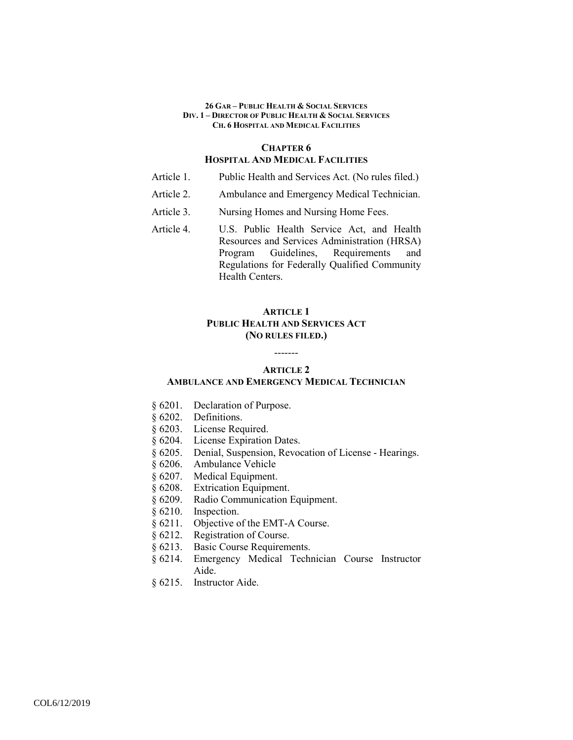### **CHAPTER 6 HOSPITAL AND MEDICAL FACILITIES**

- Article 1. Public Health and Services Act. (No rules filed.)
- Article 2. Ambulance and Emergency Medical Technician.
- Article 3. Nursing Homes and Nursing Home Fees.
- Article 4. U.S. Public Health Service Act, and Health Resources and Services Administration (HRSA) Program Guidelines, Requirements and Regulations for Federally Qualified Community Health Centers.

# **ARTICLE 1 PUBLIC HEALTH AND SERVICES ACT (NO RULES FILED.)**

# ------- **ARTICLE 2**

### **AMBULANCE AND EMERGENCY MEDICAL TECHNICIAN**

- § 6201. Declaration of Purpose.
- § 6202. Definitions.
- § 6203. License Required.
- § 6204. License Expiration Dates.
- § 6205. Denial, Suspension, Revocation of License Hearings.
- § 6206. Ambulance Vehicle
- § 6207. Medical Equipment.
- § 6208. Extrication Equipment.
- § 6209. Radio Communication Equipment.
- § 6210. Inspection.
- § 6211. Objective of the EMT-A Course.
- § 6212. Registration of Course.<br>§ 6213. Basic Course Requirem
- Basic Course Requirements.
- § 6214. Emergency Medical Technician Course Instructor Aide.
- § 6215. Instructor Aide.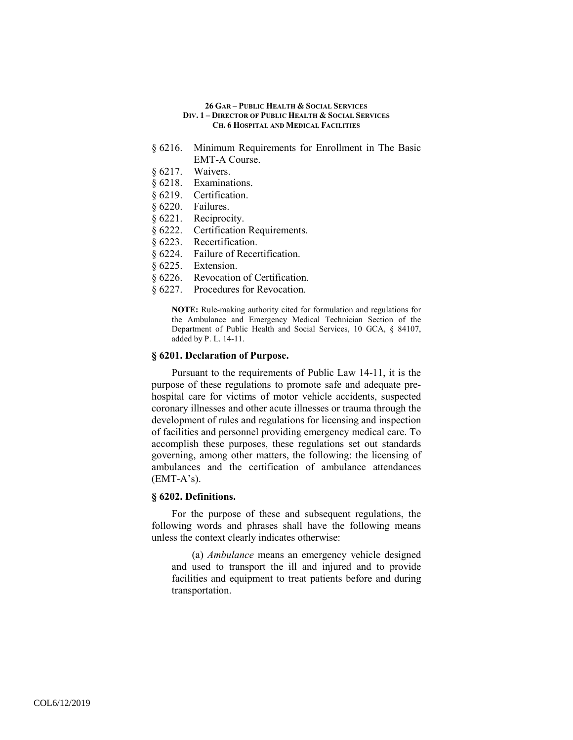- § 6216. Minimum Requirements for Enrollment in The Basic EMT-A Course.
- § 6217. Waivers.
- § 6218. Examinations.
- § 6219. Certification.
- § 6220. Failures.
- § 6221. Reciprocity.
- § 6222. Certification Requirements.
- § 6223. Recertification.
- § 6224. Failure of Recertification.
- § 6225. Extension.
- § 6226. Revocation of Certification.
- § 6227. Procedures for Revocation.

**NOTE:** Rule-making authority cited for formulation and regulations for the Ambulance and Emergency Medical Technician Section of the Department of Public Health and Social Services, 10 GCA, § 84107, added by P. L. 14-11.

## **§ 6201. Declaration of Purpose.**

Pursuant to the requirements of Public Law 14-11, it is the purpose of these regulations to promote safe and adequate prehospital care for victims of motor vehicle accidents, suspected coronary illnesses and other acute illnesses or trauma through the development of rules and regulations for licensing and inspection of facilities and personnel providing emergency medical care. To accomplish these purposes, these regulations set out standards governing, among other matters, the following: the licensing of ambulances and the certification of ambulance attendances  $(EMT-A's)$ .

### **§ 6202. Definitions.**

For the purpose of these and subsequent regulations, the following words and phrases shall have the following means unless the context clearly indicates otherwise:

(a) *Ambulance* means an emergency vehicle designed and used to transport the ill and injured and to provide facilities and equipment to treat patients before and during transportation.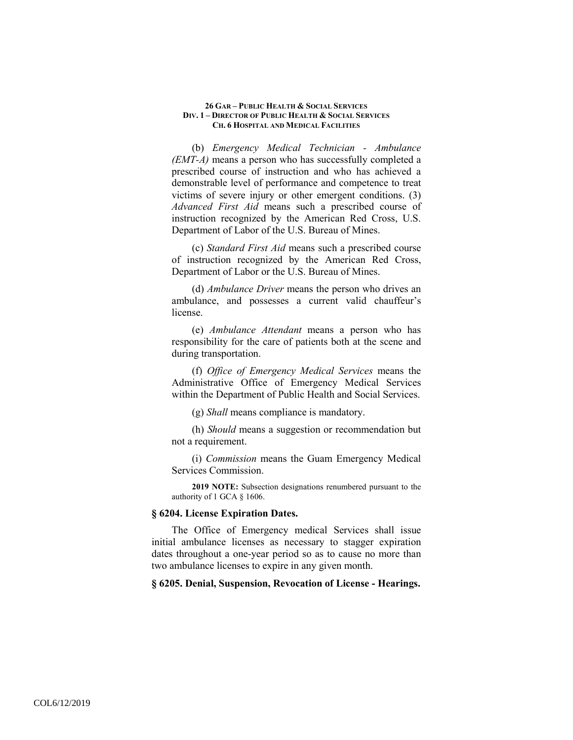(b) *Emergency Medical Technician - Ambulance (EMT-A)* means a person who has successfully completed a prescribed course of instruction and who has achieved a demonstrable level of performance and competence to treat victims of severe injury or other emergent conditions. (3) *Advanced First Aid* means such a prescribed course of instruction recognized by the American Red Cross, U.S. Department of Labor of the U.S. Bureau of Mines.

(c) *Standard First Aid* means such a prescribed course of instruction recognized by the American Red Cross, Department of Labor or the U.S. Bureau of Mines.

(d) *Ambulance Driver* means the person who drives an ambulance, and possesses a current valid chauffeur's license.

(e) *Ambulance Attendant* means a person who has responsibility for the care of patients both at the scene and during transportation.

(f) *Office of Emergency Medical Services* means the Administrative Office of Emergency Medical Services within the Department of Public Health and Social Services.

(g) *Shall* means compliance is mandatory.

(h) *Should* means a suggestion or recommendation but not a requirement.

(i) *Commission* means the Guam Emergency Medical Services Commission.

**2019 NOTE:** Subsection designations renumbered pursuant to the authority of 1 GCA § 1606.

### **§ 6204. License Expiration Dates.**

The Office of Emergency medical Services shall issue initial ambulance licenses as necessary to stagger expiration dates throughout a one-year period so as to cause no more than two ambulance licenses to expire in any given month.

**§ 6205. Denial, Suspension, Revocation of License - Hearings.**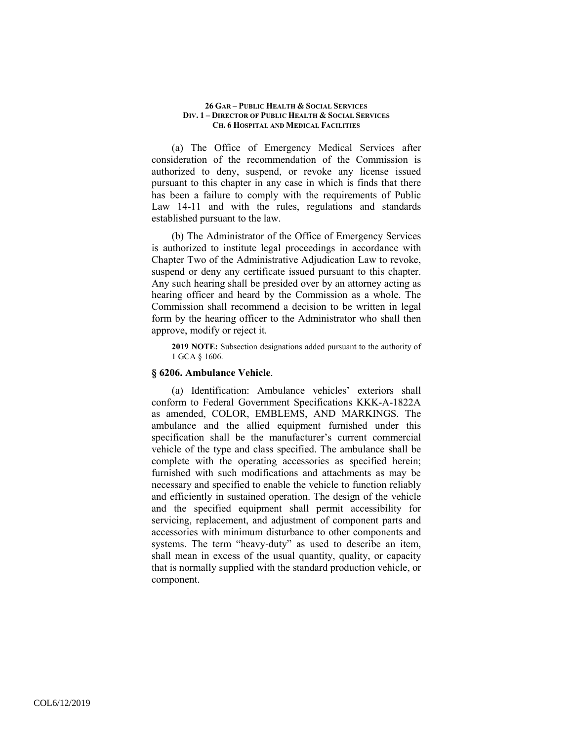(a) The Office of Emergency Medical Services after consideration of the recommendation of the Commission is authorized to deny, suspend, or revoke any license issued pursuant to this chapter in any case in which is finds that there has been a failure to comply with the requirements of Public Law 14-11 and with the rules, regulations and standards established pursuant to the law.

(b) The Administrator of the Office of Emergency Services is authorized to institute legal proceedings in accordance with Chapter Two of the Administrative Adjudication Law to revoke, suspend or deny any certificate issued pursuant to this chapter. Any such hearing shall be presided over by an attorney acting as hearing officer and heard by the Commission as a whole. The Commission shall recommend a decision to be written in legal form by the hearing officer to the Administrator who shall then approve, modify or reject it.

**2019 NOTE:** Subsection designations added pursuant to the authority of 1 GCA § 1606.

### **§ 6206. Ambulance Vehicle**.

(a) Identification: Ambulance vehicles' exteriors shall conform to Federal Government Specifications KKK-A-1822A as amended, COLOR, EMBLEMS, AND MARKINGS. The ambulance and the allied equipment furnished under this specification shall be the manufacturer's current commercial vehicle of the type and class specified. The ambulance shall be complete with the operating accessories as specified herein; furnished with such modifications and attachments as may be necessary and specified to enable the vehicle to function reliably and efficiently in sustained operation. The design of the vehicle and the specified equipment shall permit accessibility for servicing, replacement, and adjustment of component parts and accessories with minimum disturbance to other components and systems. The term "heavy-duty" as used to describe an item, shall mean in excess of the usual quantity, quality, or capacity that is normally supplied with the standard production vehicle, or component.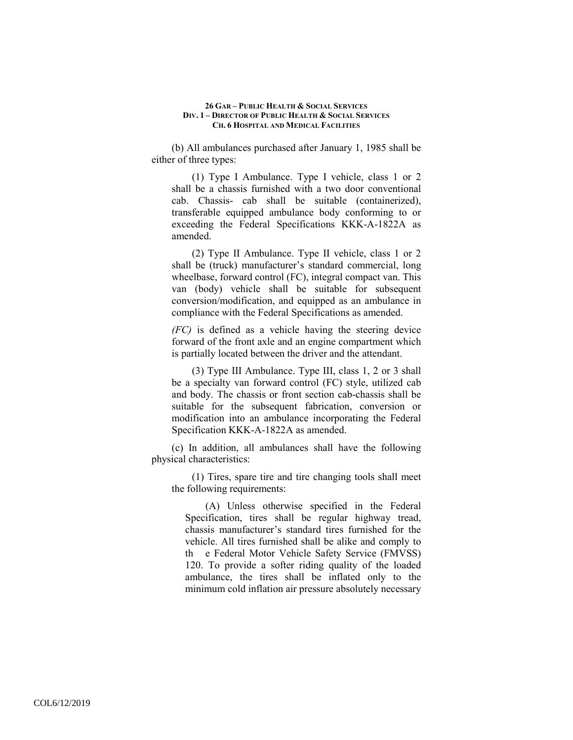(b) All ambulances purchased after January 1, 1985 shall be either of three types:

(1) Type I Ambulance. Type I vehicle, class 1 or 2 shall be a chassis furnished with a two door conventional cab. Chassis- cab shall be suitable (containerized), transferable equipped ambulance body conforming to or exceeding the Federal Specifications KKK-A-1822A as amended.

(2) Type II Ambulance. Type II vehicle, class 1 or 2 shall be (truck) manufacturer's standard commercial, long wheelbase, forward control (FC), integral compact van. This van (body) vehicle shall be suitable for subsequent conversion/modification, and equipped as an ambulance in compliance with the Federal Specifications as amended.

*(FC)* is defined as a vehicle having the steering device forward of the front axle and an engine compartment which is partially located between the driver and the attendant.

(3) Type III Ambulance. Type III, class 1, 2 or 3 shall be a specialty van forward control (FC) style, utilized cab and body. The chassis or front section cab-chassis shall be suitable for the subsequent fabrication, conversion or modification into an ambulance incorporating the Federal Specification KKK-A-1822A as amended.

(c) In addition, all ambulances shall have the following physical characteristics:

(1) Tires, spare tire and tire changing tools shall meet the following requirements:

(A) Unless otherwise specified in the Federal Specification, tires shall be regular highway tread, chassis manufacturer's standard tires furnished for the vehicle. All tires furnished shall be alike and comply to th e Federal Motor Vehicle Safety Service (FMVSS) 120. To provide a softer riding quality of the loaded ambulance, the tires shall be inflated only to the minimum cold inflation air pressure absolutely necessary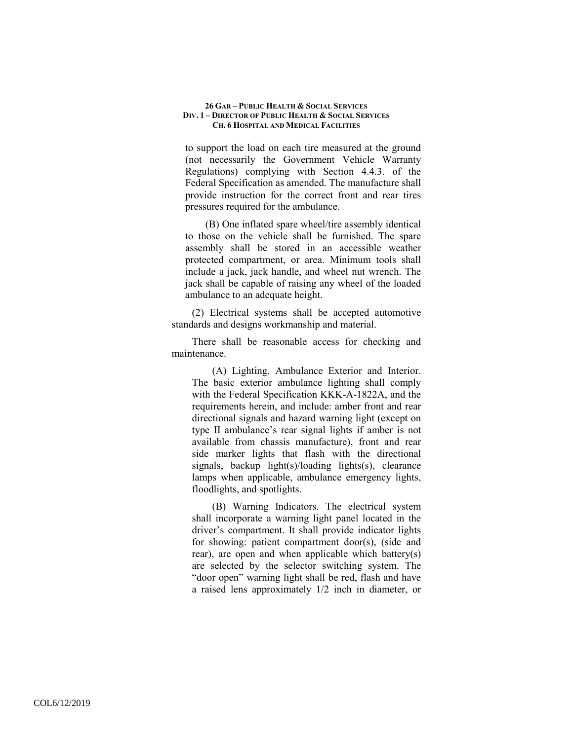to support the load on each tire measured at the ground (not necessarily the Government Vehicle Warranty Regulations) complying with Section 4.4.3. of the Federal Specification as amended. The manufacture shall provide instruction for the correct front and rear tires pressures required for the ambulance.

(B) One inflated spare wheel/tire assembly identical to those on the vehicle shall be furnished. The spare assembly shall be stored in an accessible weather protected compartment, or area. Minimum tools shall include a jack, jack handle, and wheel nut wrench. The jack shall be capable of raising any wheel of the loaded ambulance to an adequate height.

(2) Electrical systems shall be accepted automotive standards and designs workmanship and material.

There shall be reasonable access for checking and maintenance.

(A) Lighting, Ambulance Exterior and Interior. The basic exterior ambulance lighting shall comply with the Federal Specification KKK-A-1822A, and the requirements herein, and include: amber front and rear directional signals and hazard warning light (except on type II ambulance's rear signal lights if amber is not available from chassis manufacture), front and rear side marker lights that flash with the directional signals, backup light(s)/loading lights(s), clearance lamps when applicable, ambulance emergency lights, floodlights, and spotlights.

(B) Warning Indicators. The electrical system shall incorporate a warning light panel located in the driver's compartment. It shall provide indicator lights for showing: patient compartment door(s), (side and rear), are open and when applicable which battery(s) are selected by the selector switching system. The "door open" warning light shall be red, flash and have a raised lens approximately 1/2 inch in diameter, or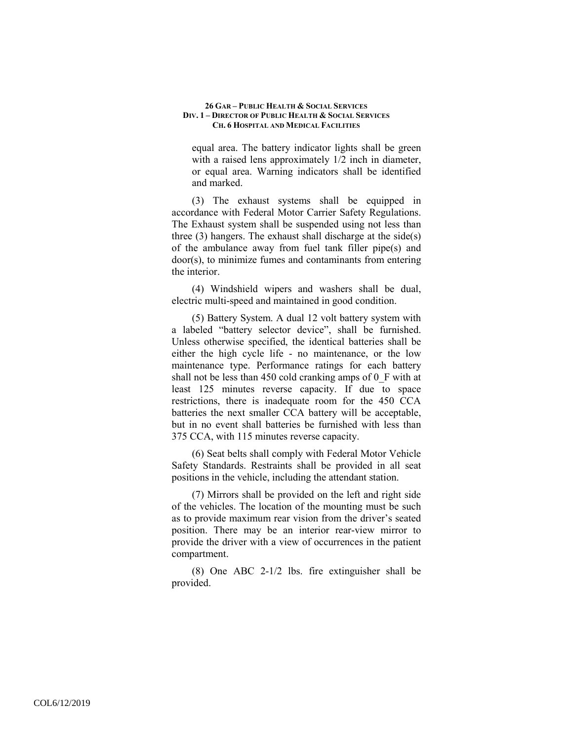equal area. The battery indicator lights shall be green with a raised lens approximately 1/2 inch in diameter, or equal area. Warning indicators shall be identified and marked.

(3) The exhaust systems shall be equipped in accordance with Federal Motor Carrier Safety Regulations. The Exhaust system shall be suspended using not less than three (3) hangers. The exhaust shall discharge at the side(s) of the ambulance away from fuel tank filler pipe(s) and door(s), to minimize fumes and contaminants from entering the interior.

(4) Windshield wipers and washers shall be dual, electric multi-speed and maintained in good condition.

(5) Battery System. A dual 12 volt battery system with a labeled "battery selector device", shall be furnished. Unless otherwise specified, the identical batteries shall be either the high cycle life - no maintenance, or the low maintenance type. Performance ratings for each battery shall not be less than 450 cold cranking amps of 0\_F with at least 125 minutes reverse capacity. If due to space restrictions, there is inadequate room for the 450 CCA batteries the next smaller CCA battery will be acceptable, but in no event shall batteries be furnished with less than 375 CCA, with 115 minutes reverse capacity.

(6) Seat belts shall comply with Federal Motor Vehicle Safety Standards. Restraints shall be provided in all seat positions in the vehicle, including the attendant station.

(7) Mirrors shall be provided on the left and right side of the vehicles. The location of the mounting must be such as to provide maximum rear vision from the driver's seated position. There may be an interior rear-view mirror to provide the driver with a view of occurrences in the patient compartment.

(8) One ABC 2-1/2 lbs. fire extinguisher shall be provided.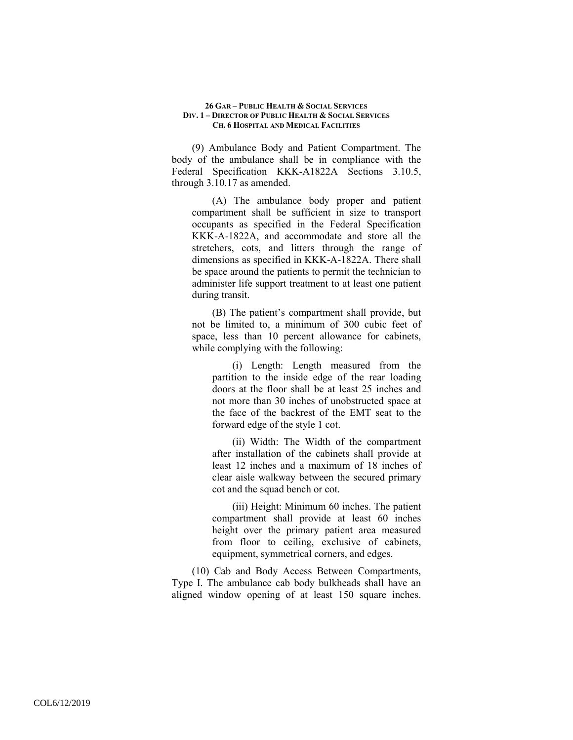(9) Ambulance Body and Patient Compartment. The body of the ambulance shall be in compliance with the Federal Specification KKK-A1822A Sections 3.10.5, through 3.10.17 as amended.

(A) The ambulance body proper and patient compartment shall be sufficient in size to transport occupants as specified in the Federal Specification KKK-A-1822A, and accommodate and store all the stretchers, cots, and litters through the range of dimensions as specified in KKK-A-1822A. There shall be space around the patients to permit the technician to administer life support treatment to at least one patient during transit.

(B) The patient's compartment shall provide, but not be limited to, a minimum of 300 cubic feet of space, less than 10 percent allowance for cabinets, while complying with the following:

(i) Length: Length measured from the partition to the inside edge of the rear loading doors at the floor shall be at least 25 inches and not more than 30 inches of unobstructed space at the face of the backrest of the EMT seat to the forward edge of the style 1 cot.

(ii) Width: The Width of the compartment after installation of the cabinets shall provide at least 12 inches and a maximum of 18 inches of clear aisle walkway between the secured primary cot and the squad bench or cot.

(iii) Height: Minimum 60 inches. The patient compartment shall provide at least 60 inches height over the primary patient area measured from floor to ceiling, exclusive of cabinets, equipment, symmetrical corners, and edges.

(10) Cab and Body Access Between Compartments, Type I. The ambulance cab body bulkheads shall have an aligned window opening of at least 150 square inches.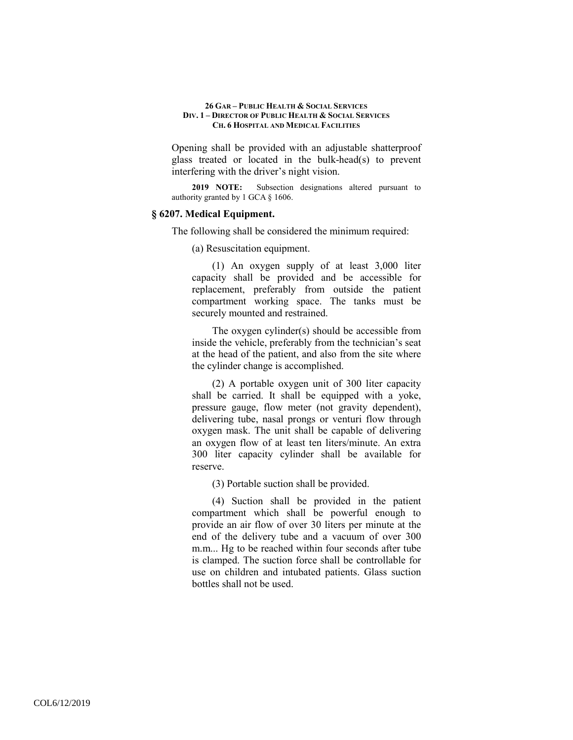Opening shall be provided with an adjustable shatterproof glass treated or located in the bulk-head(s) to prevent interfering with the driver's night vision.

**2019 NOTE:** Subsection designations altered pursuant to authority granted by 1 GCA § 1606.

#### **§ 6207. Medical Equipment.**

The following shall be considered the minimum required:

(a) Resuscitation equipment.

(1) An oxygen supply of at least 3,000 liter capacity shall be provided and be accessible for replacement, preferably from outside the patient compartment working space. The tanks must be securely mounted and restrained.

The oxygen cylinder(s) should be accessible from inside the vehicle, preferably from the technician's seat at the head of the patient, and also from the site where the cylinder change is accomplished.

(2) A portable oxygen unit of 300 liter capacity shall be carried. It shall be equipped with a yoke, pressure gauge, flow meter (not gravity dependent), delivering tube, nasal prongs or venturi flow through oxygen mask. The unit shall be capable of delivering an oxygen flow of at least ten liters/minute. An extra 300 liter capacity cylinder shall be available for reserve.

(3) Portable suction shall be provided.

(4) Suction shall be provided in the patient compartment which shall be powerful enough to provide an air flow of over 30 liters per minute at the end of the delivery tube and a vacuum of over 300 m.m... Hg to be reached within four seconds after tube is clamped. The suction force shall be controllable for use on children and intubated patients. Glass suction bottles shall not be used.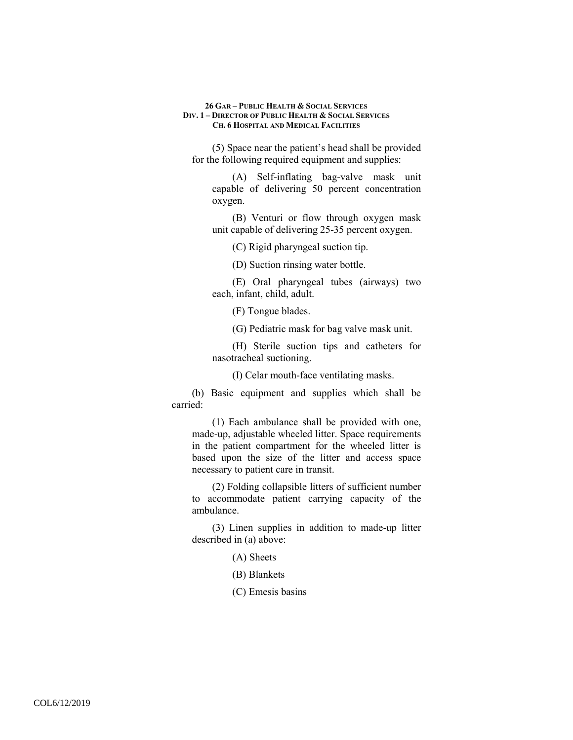(5) Space near the patient's head shall be provided for the following required equipment and supplies:

(A) Self-inflating bag-valve mask unit capable of delivering 50 percent concentration oxygen.

(B) Venturi or flow through oxygen mask unit capable of delivering 25-35 percent oxygen.

(C) Rigid pharyngeal suction tip.

(D) Suction rinsing water bottle.

(E) Oral pharyngeal tubes (airways) two each, infant, child, adult.

(F) Tongue blades.

(G) Pediatric mask for bag valve mask unit.

(H) Sterile suction tips and catheters for nasotracheal suctioning.

(I) Celar mouth-face ventilating masks.

(b) Basic equipment and supplies which shall be carried:

(1) Each ambulance shall be provided with one, made-up, adjustable wheeled litter. Space requirements in the patient compartment for the wheeled litter is based upon the size of the litter and access space necessary to patient care in transit.

(2) Folding collapsible litters of sufficient number to accommodate patient carrying capacity of the ambulance.

(3) Linen supplies in addition to made-up litter described in (a) above:

(A) Sheets

(B) Blankets

(C) Emesis basins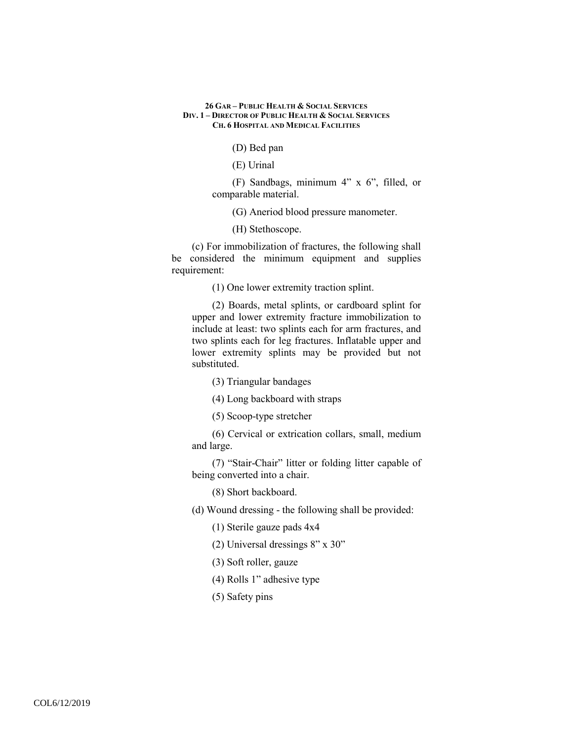(D) Bed pan

(E) Urinal

(F) Sandbags, minimum 4" x 6", filled, or comparable material.

(G) Aneriod blood pressure manometer.

(H) Stethoscope.

(c) For immobilization of fractures, the following shall be considered the minimum equipment and supplies requirement:

(1) One lower extremity traction splint.

(2) Boards, metal splints, or cardboard splint for upper and lower extremity fracture immobilization to include at least: two splints each for arm fractures, and two splints each for leg fractures. Inflatable upper and lower extremity splints may be provided but not substituted.

(3) Triangular bandages

(4) Long backboard with straps

(5) Scoop-type stretcher

(6) Cervical or extrication collars, small, medium and large.

(7) "Stair-Chair" litter or folding litter capable of being converted into a chair.

(8) Short backboard.

(d) Wound dressing - the following shall be provided:

(1) Sterile gauze pads 4x4

(2) Universal dressings 8" x 30"

(3) Soft roller, gauze

(4) Rolls 1" adhesive type

(5) Safety pins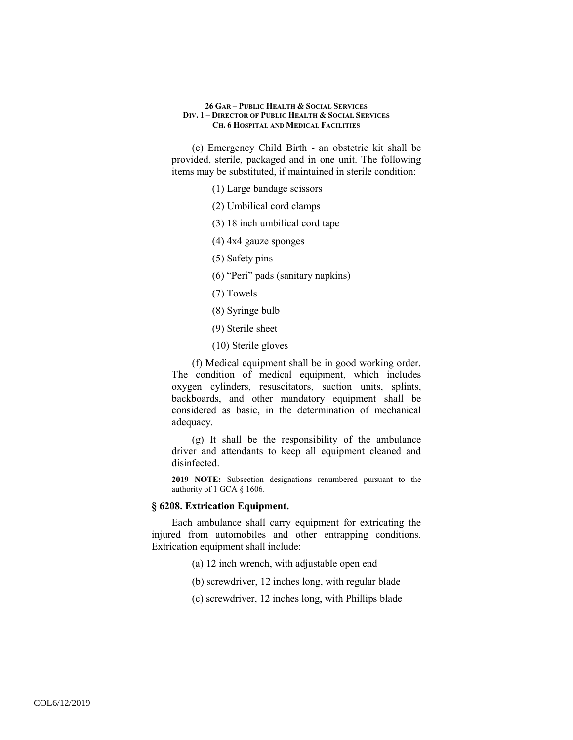(e) Emergency Child Birth - an obstetric kit shall be provided, sterile, packaged and in one unit. The following items may be substituted, if maintained in sterile condition:

- (1) Large bandage scissors
- (2) Umbilical cord clamps
- (3) 18 inch umbilical cord tape
- (4) 4x4 gauze sponges
- (5) Safety pins
- (6) "Peri" pads (sanitary napkins)
- (7) Towels
- (8) Syringe bulb
- (9) Sterile sheet
- (10) Sterile gloves

(f) Medical equipment shall be in good working order. The condition of medical equipment, which includes oxygen cylinders, resuscitators, suction units, splints, backboards, and other mandatory equipment shall be considered as basic, in the determination of mechanical adequacy.

(g) It shall be the responsibility of the ambulance driver and attendants to keep all equipment cleaned and disinfected.

**2019 NOTE:** Subsection designations renumbered pursuant to the authority of 1 GCA § 1606.

# **§ 6208. Extrication Equipment.**

Each ambulance shall carry equipment for extricating the injured from automobiles and other entrapping conditions. Extrication equipment shall include:

- (a) 12 inch wrench, with adjustable open end
- (b) screwdriver, 12 inches long, with regular blade
- (c) screwdriver, 12 inches long, with Phillips blade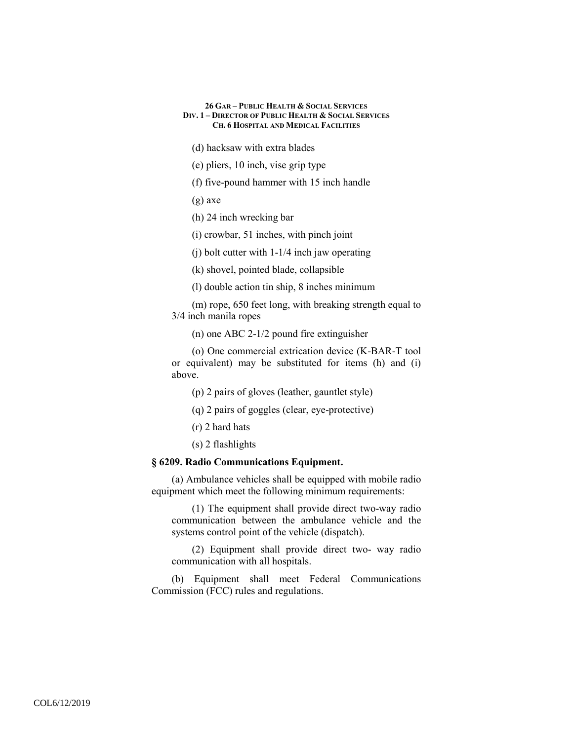(d) hacksaw with extra blades

(e) pliers, 10 inch, vise grip type

(f) five-pound hammer with 15 inch handle

(g) axe

(h) 24 inch wrecking bar

(i) crowbar, 51 inches, with pinch joint

(j) bolt cutter with 1-1/4 inch jaw operating

(k) shovel, pointed blade, collapsible

(l) double action tin ship, 8 inches minimum

(m) rope, 650 feet long, with breaking strength equal to 3/4 inch manila ropes

(n) one ABC 2-1/2 pound fire extinguisher

(o) One commercial extrication device (K-BAR-T tool or equivalent) may be substituted for items (h) and (i) above.

(p) 2 pairs of gloves (leather, gauntlet style)

(q) 2 pairs of goggles (clear, eye-protective)

(r) 2 hard hats

(s) 2 flashlights

# **§ 6209. Radio Communications Equipment.**

(a) Ambulance vehicles shall be equipped with mobile radio equipment which meet the following minimum requirements:

(1) The equipment shall provide direct two-way radio communication between the ambulance vehicle and the systems control point of the vehicle (dispatch).

(2) Equipment shall provide direct two- way radio communication with all hospitals.

(b) Equipment shall meet Federal Communications Commission (FCC) rules and regulations.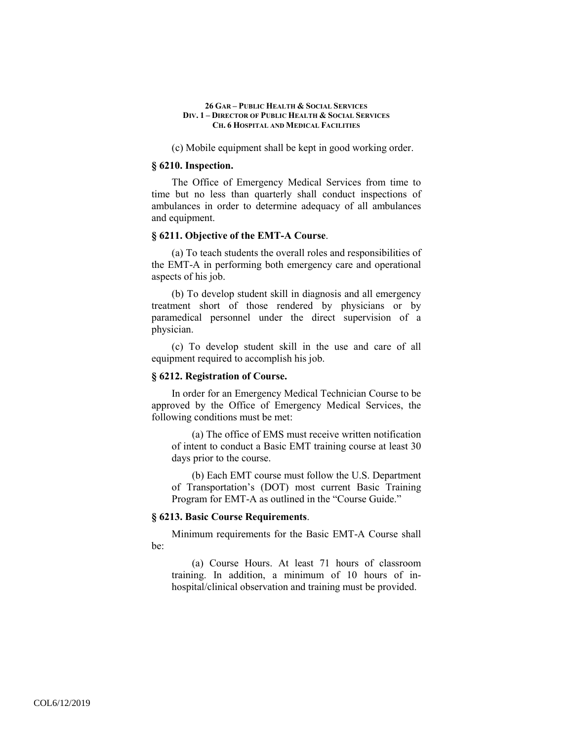(c) Mobile equipment shall be kept in good working order.

### **§ 6210. Inspection.**

The Office of Emergency Medical Services from time to time but no less than quarterly shall conduct inspections of ambulances in order to determine adequacy of all ambulances and equipment.

### **§ 6211. Objective of the EMT-A Course**.

(a) To teach students the overall roles and responsibilities of the EMT-A in performing both emergency care and operational aspects of his job.

(b) To develop student skill in diagnosis and all emergency treatment short of those rendered by physicians or by paramedical personnel under the direct supervision of a physician.

(c) To develop student skill in the use and care of all equipment required to accomplish his job.

# **§ 6212. Registration of Course.**

In order for an Emergency Medical Technician Course to be approved by the Office of Emergency Medical Services, the following conditions must be met:

(a) The office of EMS must receive written notification of intent to conduct a Basic EMT training course at least 30 days prior to the course.

(b) Each EMT course must follow the U.S. Department of Transportation's (DOT) most current Basic Training Program for EMT-A as outlined in the "Course Guide."

#### **§ 6213. Basic Course Requirements**.

Minimum requirements for the Basic EMT-A Course shall be:

(a) Course Hours. At least 71 hours of classroom training. In addition, a minimum of 10 hours of inhospital/clinical observation and training must be provided.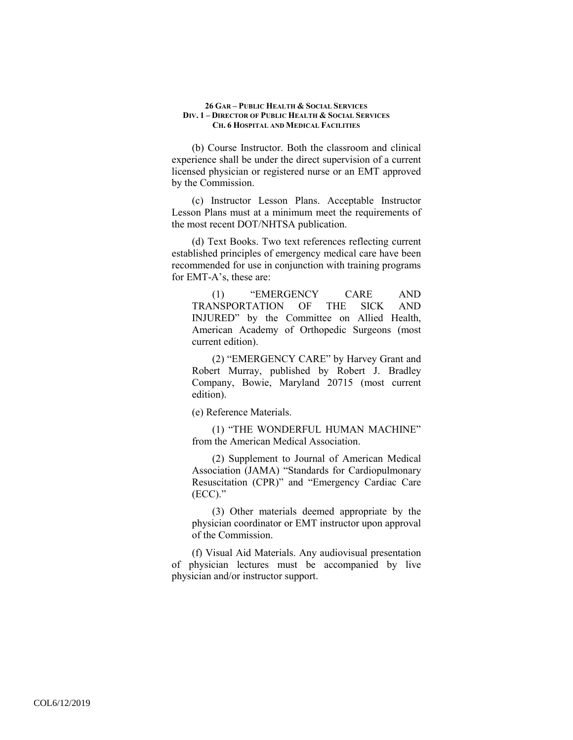(b) Course Instructor. Both the classroom and clinical experience shall be under the direct supervision of a current licensed physician or registered nurse or an EMT approved by the Commission.

(c) Instructor Lesson Plans. Acceptable Instructor Lesson Plans must at a minimum meet the requirements of the most recent DOT/NHTSA publication.

(d) Text Books. Two text references reflecting current established principles of emergency medical care have been recommended for use in conjunction with training programs for EMT-A's, these are:

(1) "EMERGENCY CARE AND TRANSPORTATION OF THE SICK AND INJURED" by the Committee on Allied Health, American Academy of Orthopedic Surgeons (most current edition).

(2) "EMERGENCY CARE" by Harvey Grant and Robert Murray, published by Robert J. Bradley Company, Bowie, Maryland 20715 (most current edition).

(e) Reference Materials.

(1) "THE WONDERFUL HUMAN MACHINE" from the American Medical Association.

(2) Supplement to Journal of American Medical Association (JAMA) "Standards for Cardiopulmonary Resuscitation (CPR)" and "Emergency Cardiac Care (ECC)."

(3) Other materials deemed appropriate by the physician coordinator or EMT instructor upon approval of the Commission.

(f) Visual Aid Materials. Any audiovisual presentation of physician lectures must be accompanied by live physician and/or instructor support.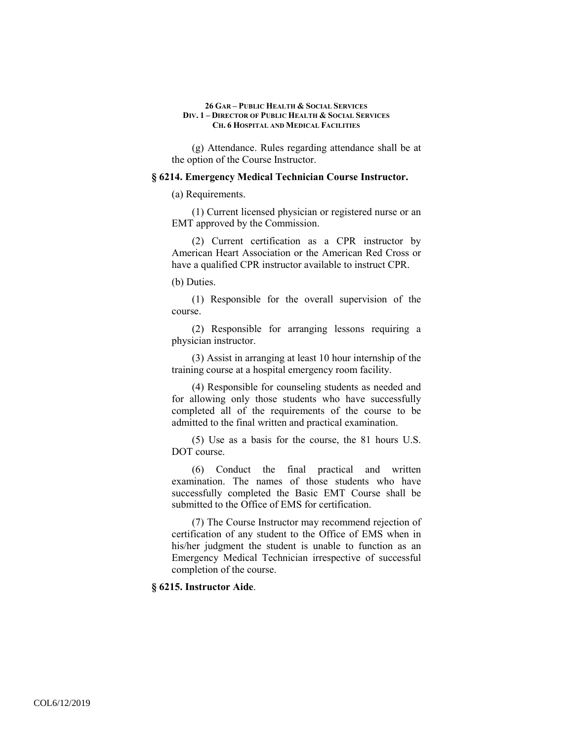(g) Attendance. Rules regarding attendance shall be at the option of the Course Instructor.

#### **§ 6214. Emergency Medical Technician Course Instructor.**

(a) Requirements.

(1) Current licensed physician or registered nurse or an EMT approved by the Commission.

(2) Current certification as a CPR instructor by American Heart Association or the American Red Cross or have a qualified CPR instructor available to instruct CPR.

(b) Duties.

(1) Responsible for the overall supervision of the course.

(2) Responsible for arranging lessons requiring a physician instructor.

(3) Assist in arranging at least 10 hour internship of the training course at a hospital emergency room facility.

(4) Responsible for counseling students as needed and for allowing only those students who have successfully completed all of the requirements of the course to be admitted to the final written and practical examination.

(5) Use as a basis for the course, the 81 hours U.S. DOT course.

(6) Conduct the final practical and written examination. The names of those students who have successfully completed the Basic EMT Course shall be submitted to the Office of EMS for certification.

(7) The Course Instructor may recommend rejection of certification of any student to the Office of EMS when in his/her judgment the student is unable to function as an Emergency Medical Technician irrespective of successful completion of the course.

**§ 6215. Instructor Aide**.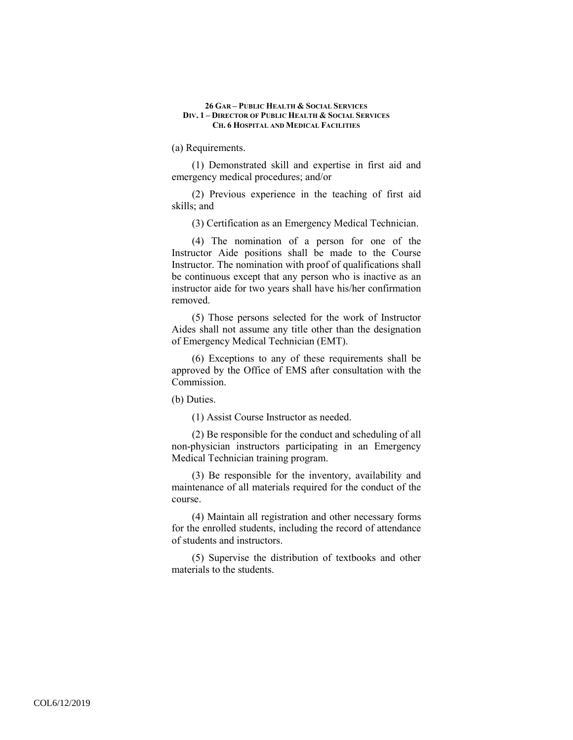(a) Requirements.

(1) Demonstrated skill and expertise in first aid and emergency medical procedures; and/or

(2) Previous experience in the teaching of first aid skills; and

(3) Certification as an Emergency Medical Technician.

(4) The nomination of a person for one of the Instructor Aide positions shall be made to the Course Instructor. The nomination with proof of qualifications shall be continuous except that any person who is inactive as an instructor aide for two years shall have his/her confirmation removed.

(5) Those persons selected for the work of Instructor Aides shall not assume any title other than the designation of Emergency Medical Technician (EMT).

(6) Exceptions to any of these requirements shall be approved by the Office of EMS after consultation with the Commission.

(b) Duties.

(1) Assist Course Instructor as needed.

(2) Be responsible for the conduct and scheduling of all non-physician instructors participating in an Emergency Medical Technician training program.

(3) Be responsible for the inventory, availability and maintenance of all materials required for the conduct of the course.

(4) Maintain all registration and other necessary forms for the enrolled students, including the record of attendance of students and instructors.

(5) Supervise the distribution of textbooks and other materials to the students.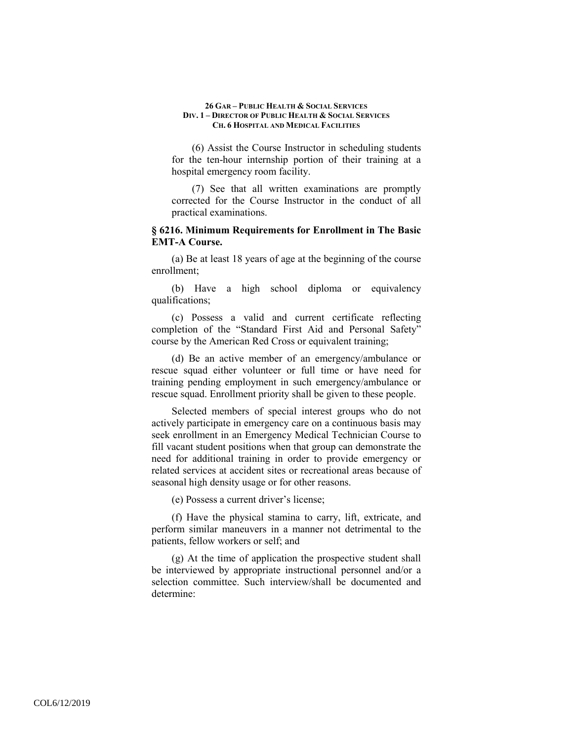(6) Assist the Course Instructor in scheduling students for the ten-hour internship portion of their training at a hospital emergency room facility.

(7) See that all written examinations are promptly corrected for the Course Instructor in the conduct of all practical examinations.

# **§ 6216. Minimum Requirements for Enrollment in The Basic EMT-A Course.**

(a) Be at least 18 years of age at the beginning of the course enrollment;

(b) Have a high school diploma or equivalency qualifications;

(c) Possess a valid and current certificate reflecting completion of the "Standard First Aid and Personal Safety" course by the American Red Cross or equivalent training;

(d) Be an active member of an emergency/ambulance or rescue squad either volunteer or full time or have need for training pending employment in such emergency/ambulance or rescue squad. Enrollment priority shall be given to these people.

Selected members of special interest groups who do not actively participate in emergency care on a continuous basis may seek enrollment in an Emergency Medical Technician Course to fill vacant student positions when that group can demonstrate the need for additional training in order to provide emergency or related services at accident sites or recreational areas because of seasonal high density usage or for other reasons.

(e) Possess a current driver's license;

(f) Have the physical stamina to carry, lift, extricate, and perform similar maneuvers in a manner not detrimental to the patients, fellow workers or self; and

(g) At the time of application the prospective student shall be interviewed by appropriate instructional personnel and/or a selection committee. Such interview/shall be documented and determine: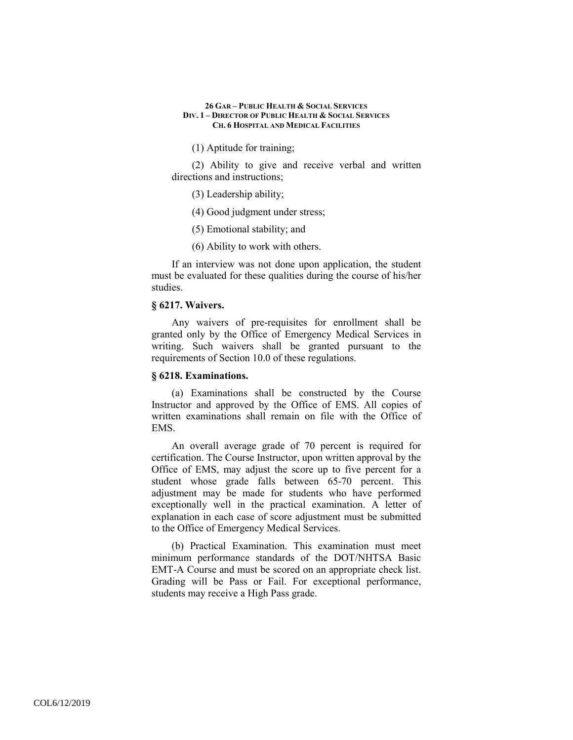(1) Aptitude for training;

(2) Ability to give and receive verbal and written directions and instructions;

(3) Leadership ability;

(4) Good judgment under stress;

(5) Emotional stability; and

(6) Ability to work with others.

If an interview was not done upon application, the student must be evaluated for these qualities during the course of his/her studies.

### **§ 6217. Waivers.**

Any waivers of pre-requisites for enrollment shall be granted only by the Office of Emergency Medical Services in writing. Such waivers shall be granted pursuant to the requirements of Section 10.0 of these regulations.

# **§ 6218. Examinations.**

(a) Examinations shall be constructed by the Course Instructor and approved by the Office of EMS. All copies of written examinations shall remain on file with the Office of EMS.

An overall average grade of 70 percent is required for certification. The Course Instructor, upon written approval by the Office of EMS, may adjust the score up to five percent for a student whose grade falls between 65-70 percent. This adjustment may be made for students who have performed exceptionally well in the practical examination. A letter of explanation in each case of score adjustment must be submitted to the Office of Emergency Medical Services.

(b) Practical Examination. This examination must meet minimum performance standards of the DOT/NHTSA Basic EMT-A Course and must be scored on an appropriate check list. Grading will be Pass or Fail. For exceptional performance, students may receive a High Pass grade.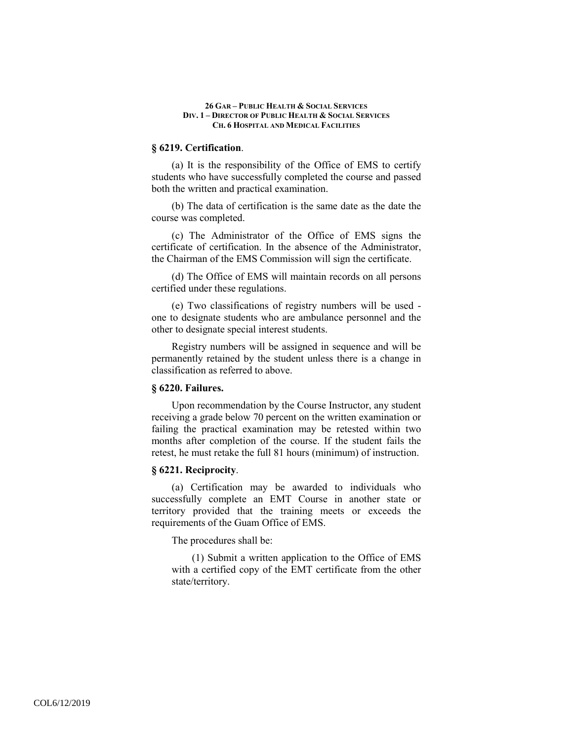### **§ 6219. Certification**.

(a) It is the responsibility of the Office of EMS to certify students who have successfully completed the course and passed both the written and practical examination.

(b) The data of certification is the same date as the date the course was completed.

(c) The Administrator of the Office of EMS signs the certificate of certification. In the absence of the Administrator, the Chairman of the EMS Commission will sign the certificate.

(d) The Office of EMS will maintain records on all persons certified under these regulations.

(e) Two classifications of registry numbers will be used one to designate students who are ambulance personnel and the other to designate special interest students.

Registry numbers will be assigned in sequence and will be permanently retained by the student unless there is a change in classification as referred to above.

### **§ 6220. Failures.**

Upon recommendation by the Course Instructor, any student receiving a grade below 70 percent on the written examination or failing the practical examination may be retested within two months after completion of the course. If the student fails the retest, he must retake the full 81 hours (minimum) of instruction.

### **§ 6221. Reciprocity**.

(a) Certification may be awarded to individuals who successfully complete an EMT Course in another state or territory provided that the training meets or exceeds the requirements of the Guam Office of EMS.

The procedures shall be:

(1) Submit a written application to the Office of EMS with a certified copy of the EMT certificate from the other state/territory.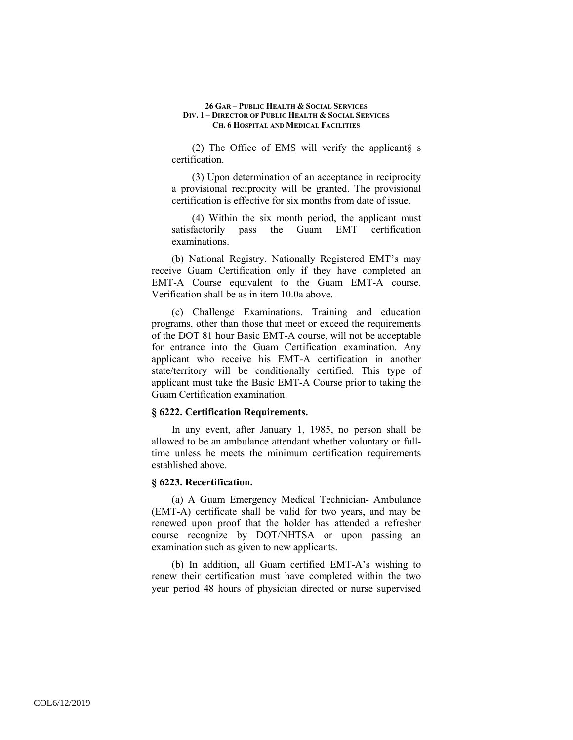(2) The Office of EMS will verify the applicant§ s certification.

(3) Upon determination of an acceptance in reciprocity a provisional reciprocity will be granted. The provisional certification is effective for six months from date of issue.

(4) Within the six month period, the applicant must satisfactorily pass the Guam EMT certification examinations.

(b) National Registry. Nationally Registered EMT's may receive Guam Certification only if they have completed an EMT-A Course equivalent to the Guam EMT-A course. Verification shall be as in item 10.0a above.

(c) Challenge Examinations. Training and education programs, other than those that meet or exceed the requirements of the DOT 81 hour Basic EMT-A course, will not be acceptable for entrance into the Guam Certification examination. Any applicant who receive his EMT-A certification in another state/territory will be conditionally certified. This type of applicant must take the Basic EMT-A Course prior to taking the Guam Certification examination.

### **§ 6222. Certification Requirements.**

In any event, after January 1, 1985, no person shall be allowed to be an ambulance attendant whether voluntary or fulltime unless he meets the minimum certification requirements established above.

### **§ 6223. Recertification.**

(a) A Guam Emergency Medical Technician- Ambulance (EMT-A) certificate shall be valid for two years, and may be renewed upon proof that the holder has attended a refresher course recognize by DOT/NHTSA or upon passing an examination such as given to new applicants.

(b) In addition, all Guam certified EMT-A's wishing to renew their certification must have completed within the two year period 48 hours of physician directed or nurse supervised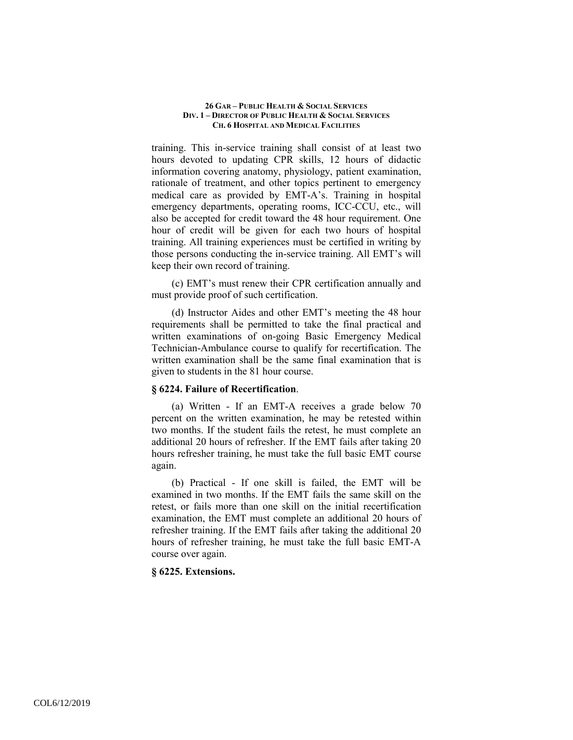training. This in-service training shall consist of at least two hours devoted to updating CPR skills, 12 hours of didactic information covering anatomy, physiology, patient examination, rationale of treatment, and other topics pertinent to emergency medical care as provided by EMT-A's. Training in hospital emergency departments, operating rooms, ICC-CCU, etc., will also be accepted for credit toward the 48 hour requirement. One hour of credit will be given for each two hours of hospital training. All training experiences must be certified in writing by those persons conducting the in-service training. All EMT's will keep their own record of training.

(c) EMT's must renew their CPR certification annually and must provide proof of such certification.

(d) Instructor Aides and other EMT's meeting the 48 hour requirements shall be permitted to take the final practical and written examinations of on-going Basic Emergency Medical Technician-Ambulance course to qualify for recertification. The written examination shall be the same final examination that is given to students in the 81 hour course.

### **§ 6224. Failure of Recertification**.

(a) Written - If an EMT-A receives a grade below 70 percent on the written examination, he may be retested within two months. If the student fails the retest, he must complete an additional 20 hours of refresher. If the EMT fails after taking 20 hours refresher training, he must take the full basic EMT course again.

(b) Practical - If one skill is failed, the EMT will be examined in two months. If the EMT fails the same skill on the retest, or fails more than one skill on the initial recertification examination, the EMT must complete an additional 20 hours of refresher training. If the EMT fails after taking the additional 20 hours of refresher training, he must take the full basic EMT-A course over again.

### **§ 6225. Extensions.**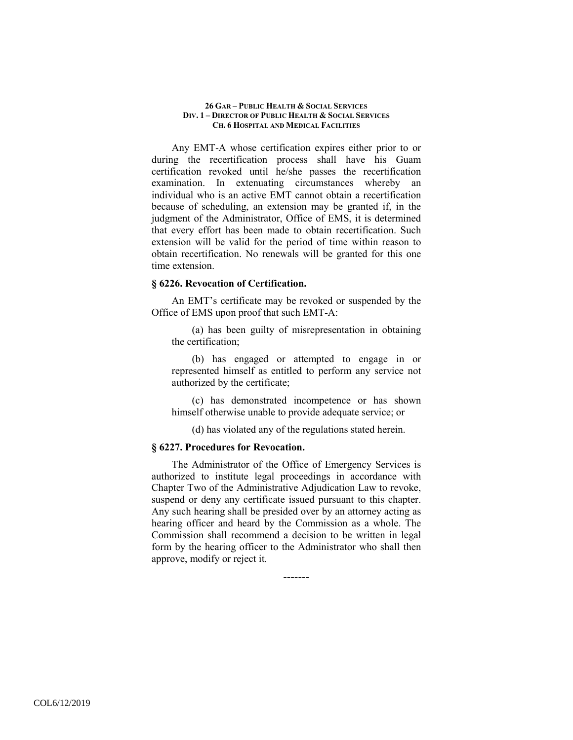Any EMT-A whose certification expires either prior to or during the recertification process shall have his Guam certification revoked until he/she passes the recertification examination. In extenuating circumstances whereby an individual who is an active EMT cannot obtain a recertification because of scheduling, an extension may be granted if, in the judgment of the Administrator, Office of EMS, it is determined that every effort has been made to obtain recertification. Such extension will be valid for the period of time within reason to obtain recertification. No renewals will be granted for this one time extension.

### **§ 6226. Revocation of Certification.**

An EMT's certificate may be revoked or suspended by the Office of EMS upon proof that such EMT-A:

(a) has been guilty of misrepresentation in obtaining the certification;

(b) has engaged or attempted to engage in or represented himself as entitled to perform any service not authorized by the certificate;

(c) has demonstrated incompetence or has shown himself otherwise unable to provide adequate service; or

(d) has violated any of the regulations stated herein.

### **§ 6227. Procedures for Revocation.**

The Administrator of the Office of Emergency Services is authorized to institute legal proceedings in accordance with Chapter Two of the Administrative Adjudication Law to revoke, suspend or deny any certificate issued pursuant to this chapter. Any such hearing shall be presided over by an attorney acting as hearing officer and heard by the Commission as a whole. The Commission shall recommend a decision to be written in legal form by the hearing officer to the Administrator who shall then approve, modify or reject it.

-------

COL6/12/2019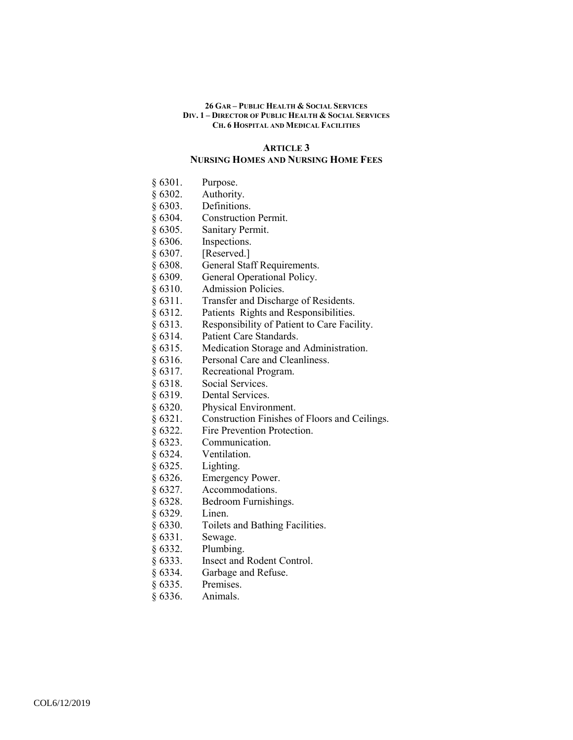#### **ARTICLE 3**

# **NURSING HOMES AND NURSING HOME FEES**

- § 6301. Purpose.
- § 6302. Authority.
- § 6303. Definitions.
- § 6304. Construction Permit.
- § 6305. Sanitary Permit.
- § 6306. Inspections.
- § 6307. [Reserved.]
- § 6308. General Staff Requirements.
- § 6309. General Operational Policy.
- § 6310. Admission Policies.
- § 6311. Transfer and Discharge of Residents.
- § 6312. Patients Rights and Responsibilities.
- § 6313. Responsibility of Patient to Care Facility.
- § 6314. Patient Care Standards.
- § 6315. Medication Storage and Administration.
- § 6316. Personal Care and Cleanliness.
- § 6317. Recreational Program.
- § 6318. Social Services.
- § 6319. Dental Services.
- § 6320. Physical Environment.
- § 6321. Construction Finishes of Floors and Ceilings.
- § 6322. Fire Prevention Protection.
- § 6323. Communication.
- § 6324. Ventilation.
- § 6325. Lighting.
- § 6326. Emergency Power.
- § 6327. Accommodations.
- § 6328. Bedroom Furnishings.
- § 6329. Linen.
- § 6330. Toilets and Bathing Facilities.
- § 6331. Sewage.
- § 6332. Plumbing.
- § 6333. Insect and Rodent Control.
- § 6334. Garbage and Refuse.
- § 6335. Premises.
- § 6336. Animals.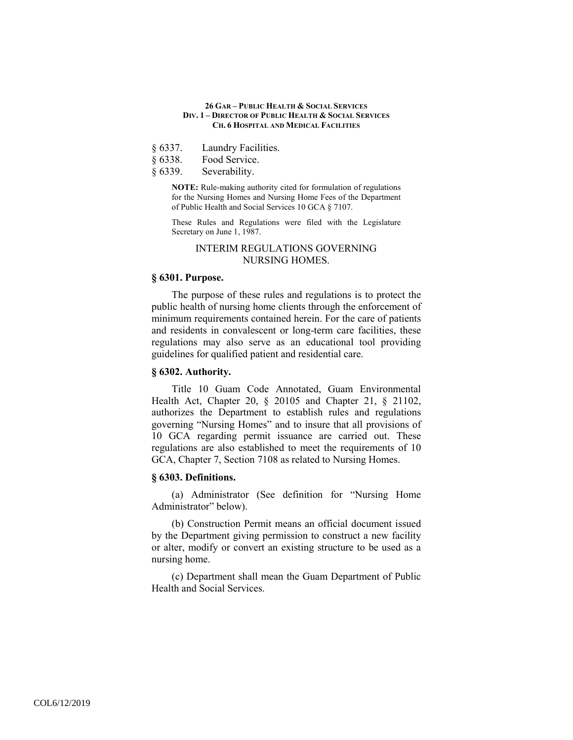- § 6337. Laundry Facilities.<br>§ 6338. Food Service.
- Food Service.
- § 6339. Severability.

**NOTE:** Rule-making authority cited for formulation of regulations for the Nursing Homes and Nursing Home Fees of the Department of Public Health and Social Services 10 GCA § 7107.

These Rules and Regulations were filed with the Legislature Secretary on June 1, 1987.

# INTERIM REGULATIONS GOVERNING NURSING HOMES.

### **§ 6301. Purpose.**

The purpose of these rules and regulations is to protect the public health of nursing home clients through the enforcement of minimum requirements contained herein. For the care of patients and residents in convalescent or long-term care facilities, these regulations may also serve as an educational tool providing guidelines for qualified patient and residential care.

### **§ 6302. Authority.**

Title 10 Guam Code Annotated, Guam Environmental Health Act, Chapter 20, § 20105 and Chapter 21, § 21102, authorizes the Department to establish rules and regulations governing "Nursing Homes" and to insure that all provisions of 10 GCA regarding permit issuance are carried out. These regulations are also established to meet the requirements of 10 GCA, Chapter 7, Section 7108 as related to Nursing Homes.

# **§ 6303. Definitions.**

(a) Administrator (See definition for "Nursing Home Administrator" below).

(b) Construction Permit means an official document issued by the Department giving permission to construct a new facility or alter, modify or convert an existing structure to be used as a nursing home.

(c) Department shall mean the Guam Department of Public Health and Social Services.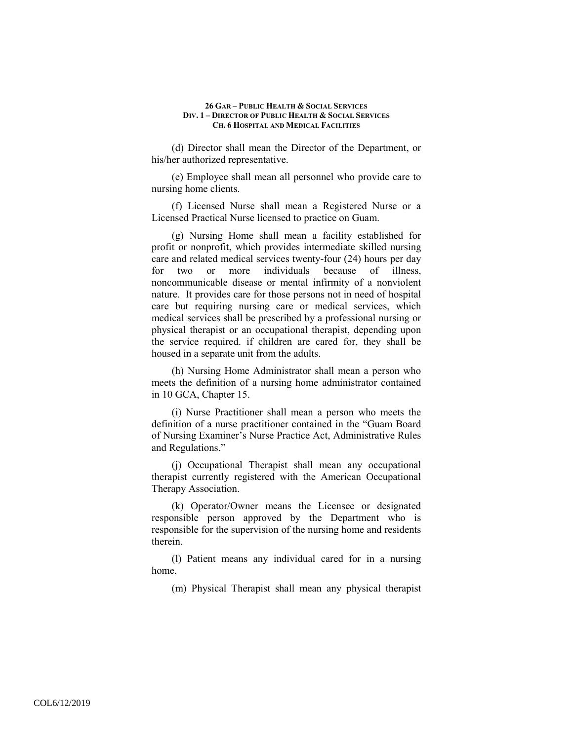(d) Director shall mean the Director of the Department, or his/her authorized representative.

(e) Employee shall mean all personnel who provide care to nursing home clients.

(f) Licensed Nurse shall mean a Registered Nurse or a Licensed Practical Nurse licensed to practice on Guam.

(g) Nursing Home shall mean a facility established for profit or nonprofit, which provides intermediate skilled nursing care and related medical services twenty-four (24) hours per day for two or more individuals because of illness, noncommunicable disease or mental infirmity of a nonviolent nature. It provides care for those persons not in need of hospital care but requiring nursing care or medical services, which medical services shall be prescribed by a professional nursing or physical therapist or an occupational therapist, depending upon the service required. if children are cared for, they shall be housed in a separate unit from the adults.

(h) Nursing Home Administrator shall mean a person who meets the definition of a nursing home administrator contained in 10 GCA, Chapter 15.

(i) Nurse Practitioner shall mean a person who meets the definition of a nurse practitioner contained in the "Guam Board of Nursing Examiner's Nurse Practice Act, Administrative Rules and Regulations."

(j) Occupational Therapist shall mean any occupational therapist currently registered with the American Occupational Therapy Association.

(k) Operator/Owner means the Licensee or designated responsible person approved by the Department who is responsible for the supervision of the nursing home and residents therein.

(l) Patient means any individual cared for in a nursing home.

(m) Physical Therapist shall mean any physical therapist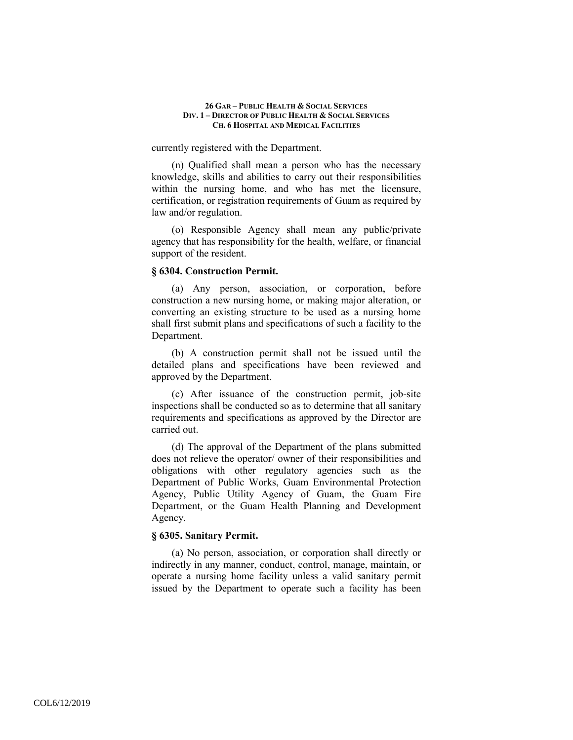currently registered with the Department.

(n) Qualified shall mean a person who has the necessary knowledge, skills and abilities to carry out their responsibilities within the nursing home, and who has met the licensure, certification, or registration requirements of Guam as required by law and/or regulation.

(o) Responsible Agency shall mean any public/private agency that has responsibility for the health, welfare, or financial support of the resident.

### **§ 6304. Construction Permit.**

(a) Any person, association, or corporation, before construction a new nursing home, or making major alteration, or converting an existing structure to be used as a nursing home shall first submit plans and specifications of such a facility to the Department.

(b) A construction permit shall not be issued until the detailed plans and specifications have been reviewed and approved by the Department.

(c) After issuance of the construction permit, job-site inspections shall be conducted so as to determine that all sanitary requirements and specifications as approved by the Director are carried out.

(d) The approval of the Department of the plans submitted does not relieve the operator/ owner of their responsibilities and obligations with other regulatory agencies such as the Department of Public Works, Guam Environmental Protection Agency, Public Utility Agency of Guam, the Guam Fire Department, or the Guam Health Planning and Development Agency.

### **§ 6305. Sanitary Permit.**

(a) No person, association, or corporation shall directly or indirectly in any manner, conduct, control, manage, maintain, or operate a nursing home facility unless a valid sanitary permit issued by the Department to operate such a facility has been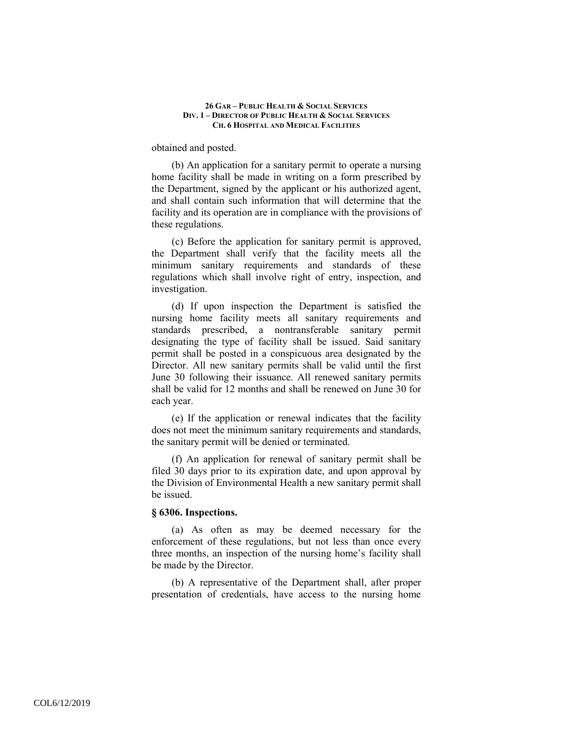obtained and posted.

(b) An application for a sanitary permit to operate a nursing home facility shall be made in writing on a form prescribed by the Department, signed by the applicant or his authorized agent, and shall contain such information that will determine that the facility and its operation are in compliance with the provisions of these regulations.

(c) Before the application for sanitary permit is approved, the Department shall verify that the facility meets all the minimum sanitary requirements and standards of these regulations which shall involve right of entry, inspection, and investigation.

(d) If upon inspection the Department is satisfied the nursing home facility meets all sanitary requirements and standards prescribed, a nontransferable sanitary permit designating the type of facility shall be issued. Said sanitary permit shall be posted in a conspicuous area designated by the Director. All new sanitary permits shall be valid until the first June 30 following their issuance. All renewed sanitary permits shall be valid for 12 months and shall be renewed on June 30 for each year.

(e) If the application or renewal indicates that the facility does not meet the minimum sanitary requirements and standards, the sanitary permit will be denied or terminated.

(f) An application for renewal of sanitary permit shall be filed 30 days prior to its expiration date, and upon approval by the Division of Environmental Health a new sanitary permit shall be issued.

#### **§ 6306. Inspections.**

(a) As often as may be deemed necessary for the enforcement of these regulations, but not less than once every three months, an inspection of the nursing home's facility shall be made by the Director.

(b) A representative of the Department shall, after proper presentation of credentials, have access to the nursing home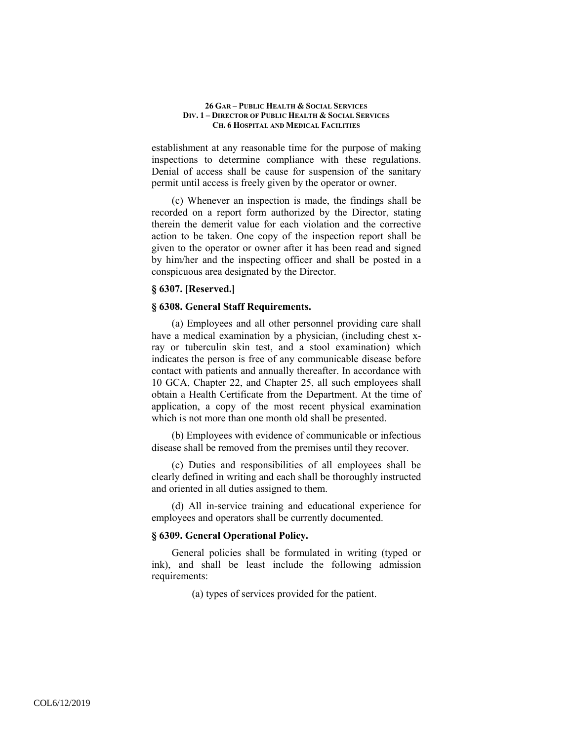establishment at any reasonable time for the purpose of making inspections to determine compliance with these regulations. Denial of access shall be cause for suspension of the sanitary permit until access is freely given by the operator or owner.

(c) Whenever an inspection is made, the findings shall be recorded on a report form authorized by the Director, stating therein the demerit value for each violation and the corrective action to be taken. One copy of the inspection report shall be given to the operator or owner after it has been read and signed by him/her and the inspecting officer and shall be posted in a conspicuous area designated by the Director.

### **§ 6307. [Reserved.]**

### **§ 6308. General Staff Requirements.**

(a) Employees and all other personnel providing care shall have a medical examination by a physician, (including chest xray or tuberculin skin test, and a stool examination) which indicates the person is free of any communicable disease before contact with patients and annually thereafter. In accordance with 10 GCA, Chapter 22, and Chapter 25, all such employees shall obtain a Health Certificate from the Department. At the time of application, a copy of the most recent physical examination which is not more than one month old shall be presented.

(b) Employees with evidence of communicable or infectious disease shall be removed from the premises until they recover.

(c) Duties and responsibilities of all employees shall be clearly defined in writing and each shall be thoroughly instructed and oriented in all duties assigned to them.

(d) All in-service training and educational experience for employees and operators shall be currently documented.

### **§ 6309. General Operational Policy.**

General policies shall be formulated in writing (typed or ink), and shall be least include the following admission requirements:

(a) types of services provided for the patient.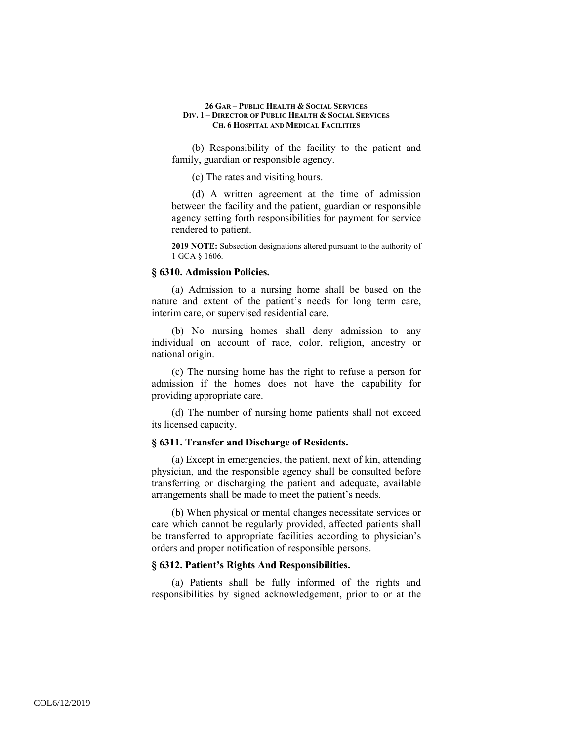(b) Responsibility of the facility to the patient and family, guardian or responsible agency.

(c) The rates and visiting hours.

(d) A written agreement at the time of admission between the facility and the patient, guardian or responsible agency setting forth responsibilities for payment for service rendered to patient.

**2019 NOTE:** Subsection designations altered pursuant to the authority of 1 GCA § 1606.

### **§ 6310. Admission Policies.**

(a) Admission to a nursing home shall be based on the nature and extent of the patient's needs for long term care, interim care, or supervised residential care.

(b) No nursing homes shall deny admission to any individual on account of race, color, religion, ancestry or national origin.

(c) The nursing home has the right to refuse a person for admission if the homes does not have the capability for providing appropriate care.

(d) The number of nursing home patients shall not exceed its licensed capacity.

# **§ 6311. Transfer and Discharge of Residents.**

(a) Except in emergencies, the patient, next of kin, attending physician, and the responsible agency shall be consulted before transferring or discharging the patient and adequate, available arrangements shall be made to meet the patient's needs.

(b) When physical or mental changes necessitate services or care which cannot be regularly provided, affected patients shall be transferred to appropriate facilities according to physician's orders and proper notification of responsible persons.

# **§ 6312. Patient's Rights And Responsibilities.**

(a) Patients shall be fully informed of the rights and responsibilities by signed acknowledgement, prior to or at the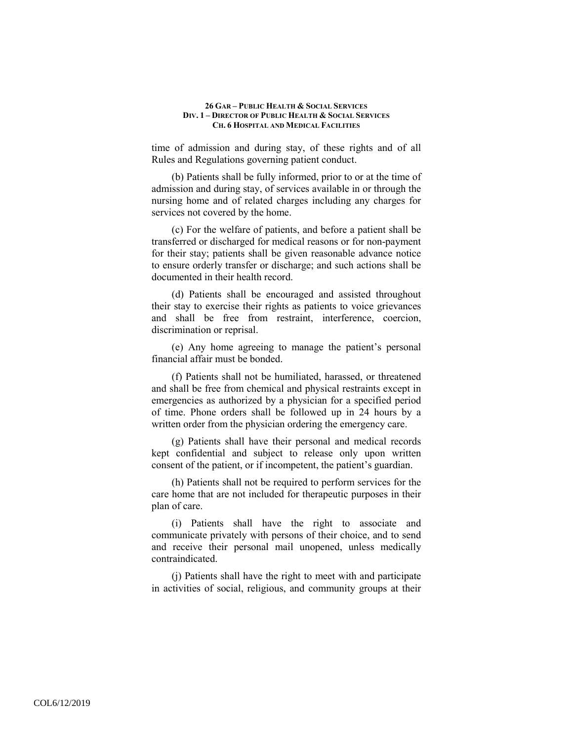time of admission and during stay, of these rights and of all Rules and Regulations governing patient conduct.

(b) Patients shall be fully informed, prior to or at the time of admission and during stay, of services available in or through the nursing home and of related charges including any charges for services not covered by the home.

(c) For the welfare of patients, and before a patient shall be transferred or discharged for medical reasons or for non-payment for their stay; patients shall be given reasonable advance notice to ensure orderly transfer or discharge; and such actions shall be documented in their health record.

(d) Patients shall be encouraged and assisted throughout their stay to exercise their rights as patients to voice grievances and shall be free from restraint, interference, coercion, discrimination or reprisal.

(e) Any home agreeing to manage the patient's personal financial affair must be bonded.

(f) Patients shall not be humiliated, harassed, or threatened and shall be free from chemical and physical restraints except in emergencies as authorized by a physician for a specified period of time. Phone orders shall be followed up in 24 hours by a written order from the physician ordering the emergency care.

(g) Patients shall have their personal and medical records kept confidential and subject to release only upon written consent of the patient, or if incompetent, the patient's guardian.

(h) Patients shall not be required to perform services for the care home that are not included for therapeutic purposes in their plan of care.

(i) Patients shall have the right to associate and communicate privately with persons of their choice, and to send and receive their personal mail unopened, unless medically contraindicated.

(j) Patients shall have the right to meet with and participate in activities of social, religious, and community groups at their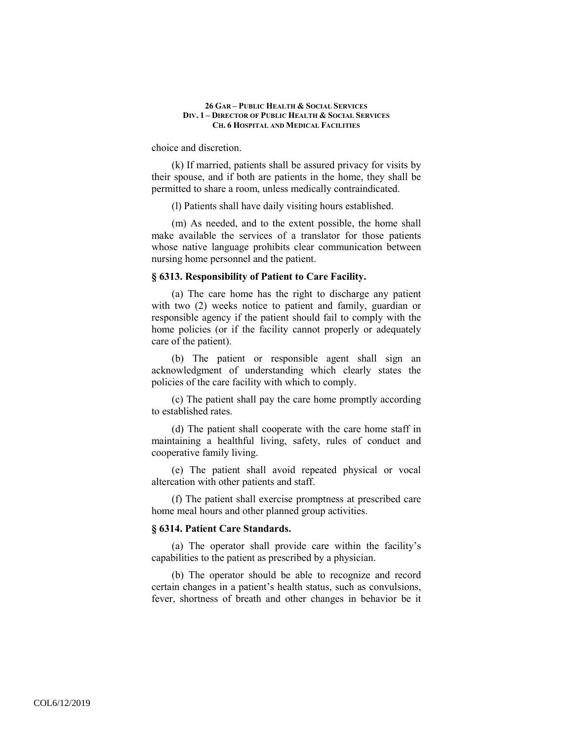choice and discretion.

(k) If married, patients shall be assured privacy for visits by their spouse, and if both are patients in the home, they shall be permitted to share a room, unless medically contraindicated.

(l) Patients shall have daily visiting hours established.

(m) As needed, and to the extent possible, the home shall make available the services of a translator for those patients whose native language prohibits clear communication between nursing home personnel and the patient.

# **§ 6313. Responsibility of Patient to Care Facility.**

(a) The care home has the right to discharge any patient with two (2) weeks notice to patient and family, guardian or responsible agency if the patient should fail to comply with the home policies (or if the facility cannot properly or adequately care of the patient).

(b) The patient or responsible agent shall sign an acknowledgment of understanding which clearly states the policies of the care facility with which to comply.

(c) The patient shall pay the care home promptly according to established rates.

(d) The patient shall cooperate with the care home staff in maintaining a healthful living, safety, rules of conduct and cooperative family living.

(e) The patient shall avoid repeated physical or vocal altercation with other patients and staff.

(f) The patient shall exercise promptness at prescribed care home meal hours and other planned group activities.

### **§ 6314. Patient Care Standards.**

(a) The operator shall provide care within the facility's capabilities to the patient as prescribed by a physician.

(b) The operator should be able to recognize and record certain changes in a patient's health status, such as convulsions, fever, shortness of breath and other changes in behavior be it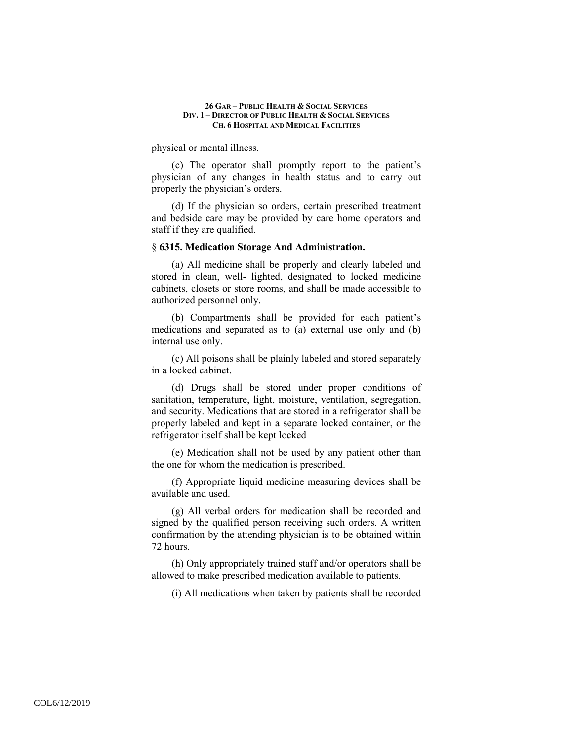physical or mental illness.

(c) The operator shall promptly report to the patient's physician of any changes in health status and to carry out properly the physician's orders.

(d) If the physician so orders, certain prescribed treatment and bedside care may be provided by care home operators and staff if they are qualified.

### § **6315. Medication Storage And Administration.**

(a) All medicine shall be properly and clearly labeled and stored in clean, well- lighted, designated to locked medicine cabinets, closets or store rooms, and shall be made accessible to authorized personnel only.

(b) Compartments shall be provided for each patient's medications and separated as to (a) external use only and (b) internal use only.

(c) All poisons shall be plainly labeled and stored separately in a locked cabinet.

(d) Drugs shall be stored under proper conditions of sanitation, temperature, light, moisture, ventilation, segregation, and security. Medications that are stored in a refrigerator shall be properly labeled and kept in a separate locked container, or the refrigerator itself shall be kept locked

(e) Medication shall not be used by any patient other than the one for whom the medication is prescribed.

(f) Appropriate liquid medicine measuring devices shall be available and used.

(g) All verbal orders for medication shall be recorded and signed by the qualified person receiving such orders. A written confirmation by the attending physician is to be obtained within 72 hours.

(h) Only appropriately trained staff and/or operators shall be allowed to make prescribed medication available to patients.

(i) All medications when taken by patients shall be recorded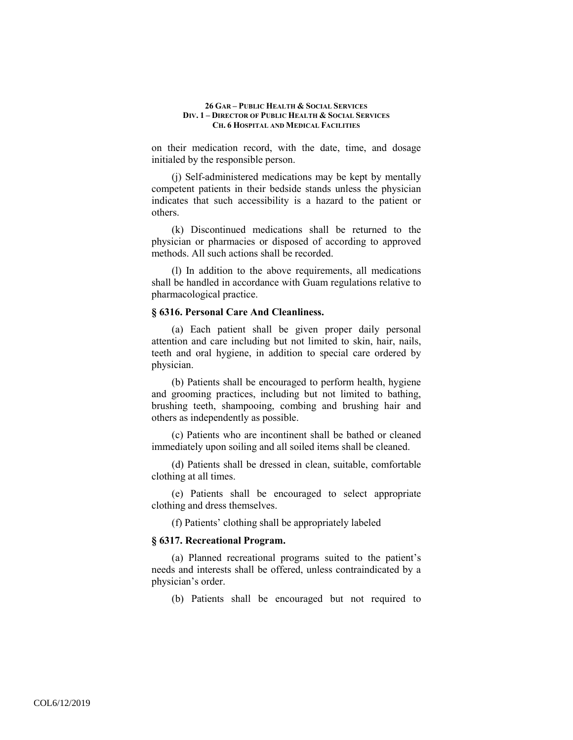on their medication record, with the date, time, and dosage initialed by the responsible person.

(j) Self-administered medications may be kept by mentally competent patients in their bedside stands unless the physician indicates that such accessibility is a hazard to the patient or others.

(k) Discontinued medications shall be returned to the physician or pharmacies or disposed of according to approved methods. All such actions shall be recorded.

(l) In addition to the above requirements, all medications shall be handled in accordance with Guam regulations relative to pharmacological practice.

### **§ 6316. Personal Care And Cleanliness.**

(a) Each patient shall be given proper daily personal attention and care including but not limited to skin, hair, nails, teeth and oral hygiene, in addition to special care ordered by physician.

(b) Patients shall be encouraged to perform health, hygiene and grooming practices, including but not limited to bathing, brushing teeth, shampooing, combing and brushing hair and others as independently as possible.

(c) Patients who are incontinent shall be bathed or cleaned immediately upon soiling and all soiled items shall be cleaned.

(d) Patients shall be dressed in clean, suitable, comfortable clothing at all times.

(e) Patients shall be encouraged to select appropriate clothing and dress themselves.

(f) Patients' clothing shall be appropriately labeled

### **§ 6317. Recreational Program.**

(a) Planned recreational programs suited to the patient's needs and interests shall be offered, unless contraindicated by a physician's order.

(b) Patients shall be encouraged but not required to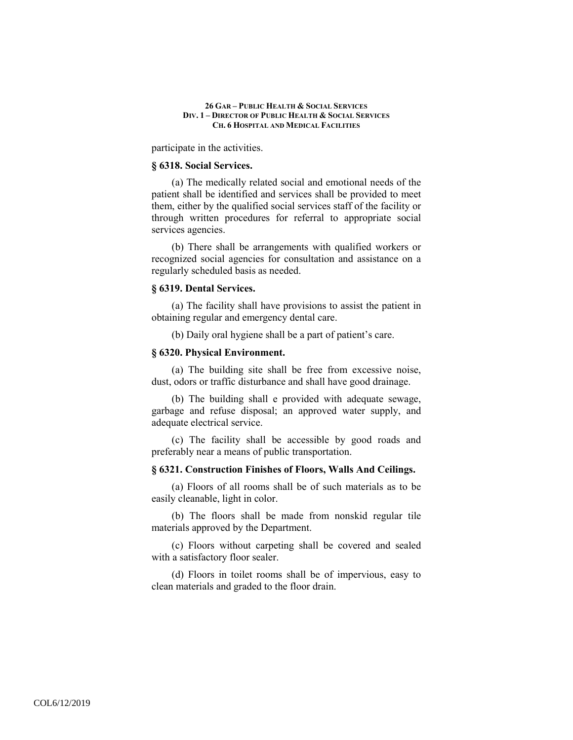participate in the activities.

### **§ 6318. Social Services.**

(a) The medically related social and emotional needs of the patient shall be identified and services shall be provided to meet them, either by the qualified social services staff of the facility or through written procedures for referral to appropriate social services agencies.

(b) There shall be arrangements with qualified workers or recognized social agencies for consultation and assistance on a regularly scheduled basis as needed.

### **§ 6319. Dental Services.**

(a) The facility shall have provisions to assist the patient in obtaining regular and emergency dental care.

(b) Daily oral hygiene shall be a part of patient's care.

### **§ 6320. Physical Environment.**

(a) The building site shall be free from excessive noise, dust, odors or traffic disturbance and shall have good drainage.

(b) The building shall e provided with adequate sewage, garbage and refuse disposal; an approved water supply, and adequate electrical service.

(c) The facility shall be accessible by good roads and preferably near a means of public transportation.

### **§ 6321. Construction Finishes of Floors, Walls And Ceilings.**

(a) Floors of all rooms shall be of such materials as to be easily cleanable, light in color.

(b) The floors shall be made from nonskid regular tile materials approved by the Department.

(c) Floors without carpeting shall be covered and sealed with a satisfactory floor sealer.

(d) Floors in toilet rooms shall be of impervious, easy to clean materials and graded to the floor drain.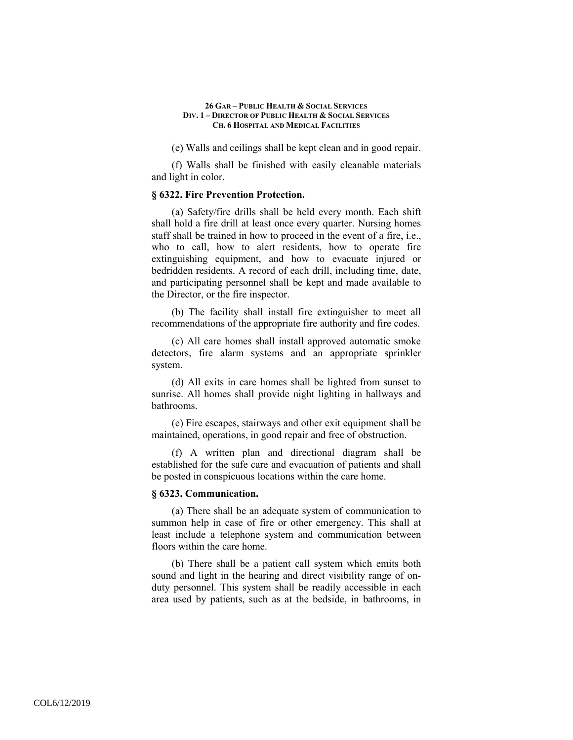(e) Walls and ceilings shall be kept clean and in good repair.

(f) Walls shall be finished with easily cleanable materials and light in color.

### **§ 6322. Fire Prevention Protection.**

(a) Safety/fire drills shall be held every month. Each shift shall hold a fire drill at least once every quarter. Nursing homes staff shall be trained in how to proceed in the event of a fire, i.e., who to call, how to alert residents, how to operate fire extinguishing equipment, and how to evacuate injured or bedridden residents. A record of each drill, including time, date, and participating personnel shall be kept and made available to the Director, or the fire inspector.

(b) The facility shall install fire extinguisher to meet all recommendations of the appropriate fire authority and fire codes.

(c) All care homes shall install approved automatic smoke detectors, fire alarm systems and an appropriate sprinkler system.

(d) All exits in care homes shall be lighted from sunset to sunrise. All homes shall provide night lighting in hallways and bathrooms.

(e) Fire escapes, stairways and other exit equipment shall be maintained, operations, in good repair and free of obstruction.

(f) A written plan and directional diagram shall be established for the safe care and evacuation of patients and shall be posted in conspicuous locations within the care home.

### **§ 6323. Communication.**

(a) There shall be an adequate system of communication to summon help in case of fire or other emergency. This shall at least include a telephone system and communication between floors within the care home.

(b) There shall be a patient call system which emits both sound and light in the hearing and direct visibility range of onduty personnel. This system shall be readily accessible in each area used by patients, such as at the bedside, in bathrooms, in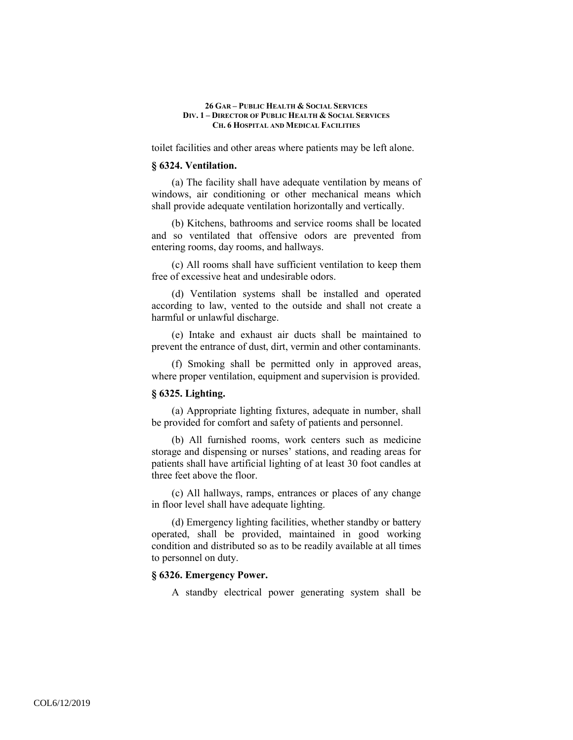toilet facilities and other areas where patients may be left alone.

### **§ 6324. Ventilation.**

(a) The facility shall have adequate ventilation by means of windows, air conditioning or other mechanical means which shall provide adequate ventilation horizontally and vertically.

(b) Kitchens, bathrooms and service rooms shall be located and so ventilated that offensive odors are prevented from entering rooms, day rooms, and hallways.

(c) All rooms shall have sufficient ventilation to keep them free of excessive heat and undesirable odors.

(d) Ventilation systems shall be installed and operated according to law, vented to the outside and shall not create a harmful or unlawful discharge.

(e) Intake and exhaust air ducts shall be maintained to prevent the entrance of dust, dirt, vermin and other contaminants.

(f) Smoking shall be permitted only in approved areas, where proper ventilation, equipment and supervision is provided.

### **§ 6325. Lighting.**

(a) Appropriate lighting fixtures, adequate in number, shall be provided for comfort and safety of patients and personnel.

(b) All furnished rooms, work centers such as medicine storage and dispensing or nurses' stations, and reading areas for patients shall have artificial lighting of at least 30 foot candles at three feet above the floor.

(c) All hallways, ramps, entrances or places of any change in floor level shall have adequate lighting.

(d) Emergency lighting facilities, whether standby or battery operated, shall be provided, maintained in good working condition and distributed so as to be readily available at all times to personnel on duty.

# **§ 6326. Emergency Power.**

A standby electrical power generating system shall be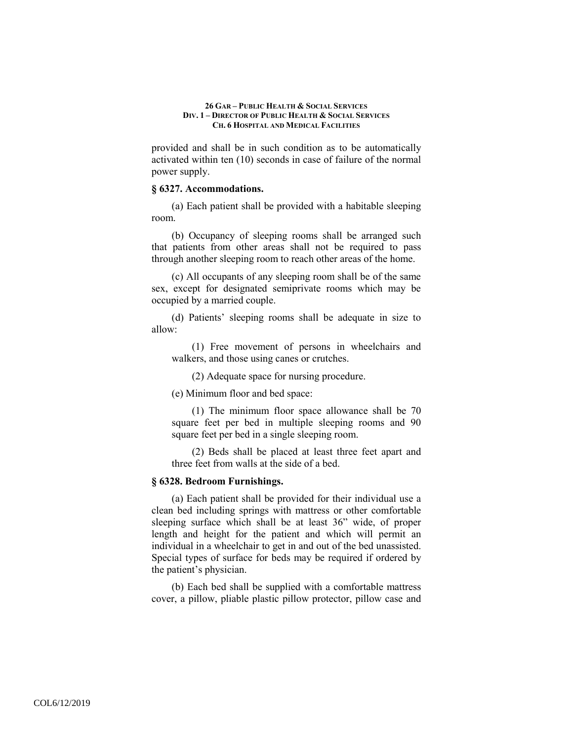provided and shall be in such condition as to be automatically activated within ten (10) seconds in case of failure of the normal power supply.

### **§ 6327. Accommodations.**

(a) Each patient shall be provided with a habitable sleeping room.

(b) Occupancy of sleeping rooms shall be arranged such that patients from other areas shall not be required to pass through another sleeping room to reach other areas of the home.

(c) All occupants of any sleeping room shall be of the same sex, except for designated semiprivate rooms which may be occupied by a married couple.

(d) Patients' sleeping rooms shall be adequate in size to allow:

(1) Free movement of persons in wheelchairs and walkers, and those using canes or crutches.

(2) Adequate space for nursing procedure.

(e) Minimum floor and bed space:

(1) The minimum floor space allowance shall be 70 square feet per bed in multiple sleeping rooms and 90 square feet per bed in a single sleeping room.

(2) Beds shall be placed at least three feet apart and three feet from walls at the side of a bed.

### **§ 6328. Bedroom Furnishings.**

(a) Each patient shall be provided for their individual use a clean bed including springs with mattress or other comfortable sleeping surface which shall be at least 36" wide, of proper length and height for the patient and which will permit an individual in a wheelchair to get in and out of the bed unassisted. Special types of surface for beds may be required if ordered by the patient's physician.

(b) Each bed shall be supplied with a comfortable mattress cover, a pillow, pliable plastic pillow protector, pillow case and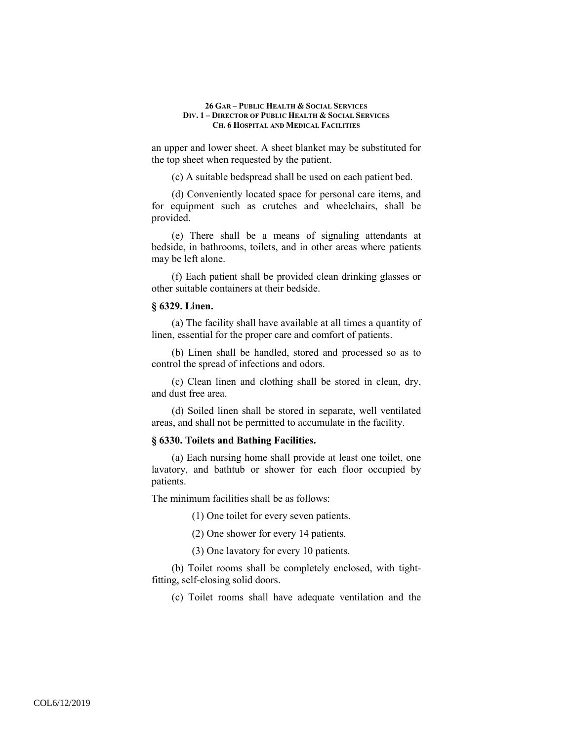an upper and lower sheet. A sheet blanket may be substituted for the top sheet when requested by the patient.

(c) A suitable bedspread shall be used on each patient bed.

(d) Conveniently located space for personal care items, and for equipment such as crutches and wheelchairs, shall be provided.

(e) There shall be a means of signaling attendants at bedside, in bathrooms, toilets, and in other areas where patients may be left alone.

(f) Each patient shall be provided clean drinking glasses or other suitable containers at their bedside.

### **§ 6329. Linen.**

(a) The facility shall have available at all times a quantity of linen, essential for the proper care and comfort of patients.

(b) Linen shall be handled, stored and processed so as to control the spread of infections and odors.

(c) Clean linen and clothing shall be stored in clean, dry, and dust free area.

(d) Soiled linen shall be stored in separate, well ventilated areas, and shall not be permitted to accumulate in the facility.

### **§ 6330. Toilets and Bathing Facilities.**

(a) Each nursing home shall provide at least one toilet, one lavatory, and bathtub or shower for each floor occupied by patients.

The minimum facilities shall be as follows:

(1) One toilet for every seven patients.

(2) One shower for every 14 patients.

(3) One lavatory for every 10 patients.

(b) Toilet rooms shall be completely enclosed, with tightfitting, self-closing solid doors.

(c) Toilet rooms shall have adequate ventilation and the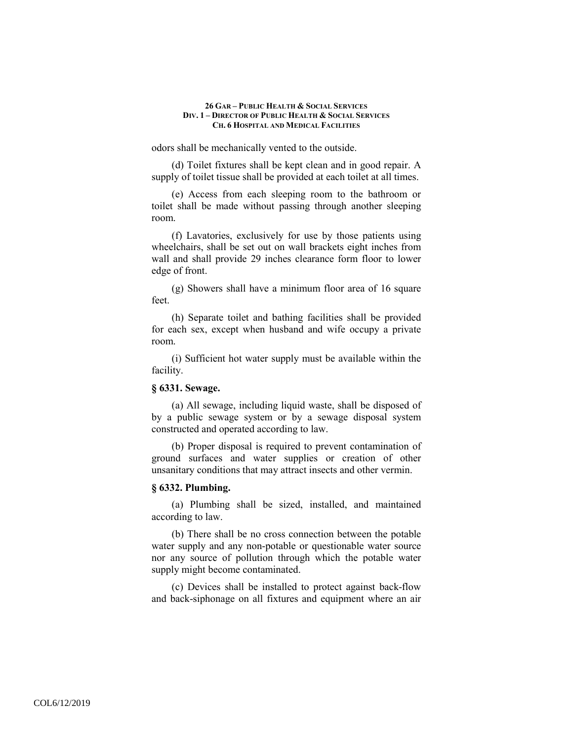odors shall be mechanically vented to the outside.

(d) Toilet fixtures shall be kept clean and in good repair. A supply of toilet tissue shall be provided at each toilet at all times.

(e) Access from each sleeping room to the bathroom or toilet shall be made without passing through another sleeping room.

(f) Lavatories, exclusively for use by those patients using wheelchairs, shall be set out on wall brackets eight inches from wall and shall provide 29 inches clearance form floor to lower edge of front.

(g) Showers shall have a minimum floor area of 16 square feet.

(h) Separate toilet and bathing facilities shall be provided for each sex, except when husband and wife occupy a private room.

(i) Sufficient hot water supply must be available within the facility.

# **§ 6331. Sewage.**

(a) All sewage, including liquid waste, shall be disposed of by a public sewage system or by a sewage disposal system constructed and operated according to law.

(b) Proper disposal is required to prevent contamination of ground surfaces and water supplies or creation of other unsanitary conditions that may attract insects and other vermin.

### **§ 6332. Plumbing.**

(a) Plumbing shall be sized, installed, and maintained according to law.

(b) There shall be no cross connection between the potable water supply and any non-potable or questionable water source nor any source of pollution through which the potable water supply might become contaminated.

(c) Devices shall be installed to protect against back-flow and back-siphonage on all fixtures and equipment where an air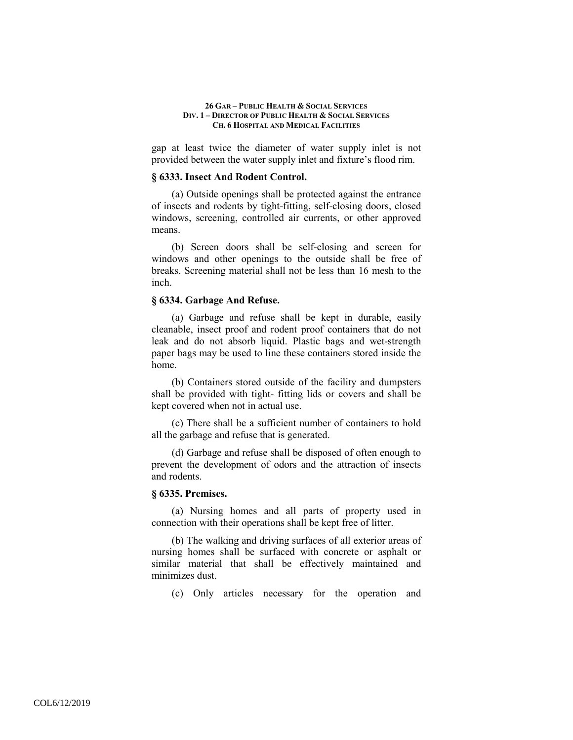gap at least twice the diameter of water supply inlet is not provided between the water supply inlet and fixture's flood rim.

### **§ 6333. Insect And Rodent Control.**

(a) Outside openings shall be protected against the entrance of insects and rodents by tight-fitting, self-closing doors, closed windows, screening, controlled air currents, or other approved means.

(b) Screen doors shall be self-closing and screen for windows and other openings to the outside shall be free of breaks. Screening material shall not be less than 16 mesh to the inch.

# **§ 6334. Garbage And Refuse.**

(a) Garbage and refuse shall be kept in durable, easily cleanable, insect proof and rodent proof containers that do not leak and do not absorb liquid. Plastic bags and wet-strength paper bags may be used to line these containers stored inside the home.

(b) Containers stored outside of the facility and dumpsters shall be provided with tight- fitting lids or covers and shall be kept covered when not in actual use.

(c) There shall be a sufficient number of containers to hold all the garbage and refuse that is generated.

(d) Garbage and refuse shall be disposed of often enough to prevent the development of odors and the attraction of insects and rodents.

### **§ 6335. Premises.**

(a) Nursing homes and all parts of property used in connection with their operations shall be kept free of litter.

(b) The walking and driving surfaces of all exterior areas of nursing homes shall be surfaced with concrete or asphalt or similar material that shall be effectively maintained and minimizes dust.

(c) Only articles necessary for the operation and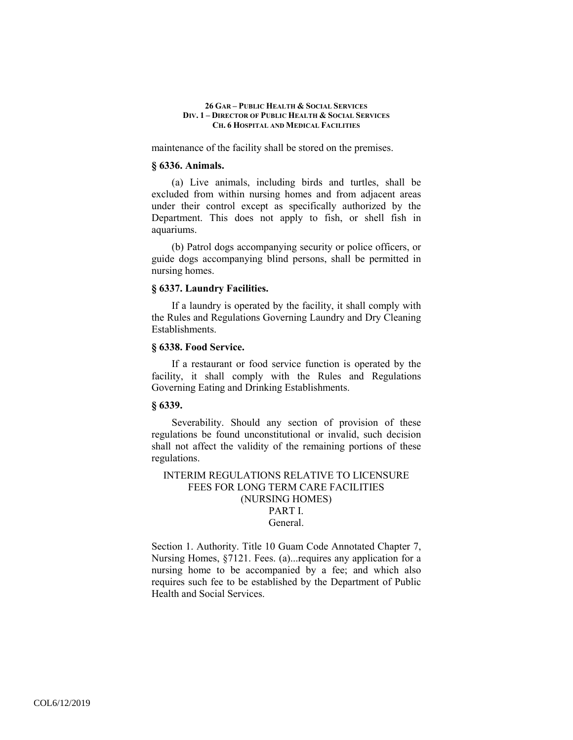maintenance of the facility shall be stored on the premises.

### **§ 6336. Animals.**

(a) Live animals, including birds and turtles, shall be excluded from within nursing homes and from adjacent areas under their control except as specifically authorized by the Department. This does not apply to fish, or shell fish in aquariums.

(b) Patrol dogs accompanying security or police officers, or guide dogs accompanying blind persons, shall be permitted in nursing homes.

### **§ 6337. Laundry Facilities.**

If a laundry is operated by the facility, it shall comply with the Rules and Regulations Governing Laundry and Dry Cleaning Establishments.

### **§ 6338. Food Service.**

If a restaurant or food service function is operated by the facility, it shall comply with the Rules and Regulations Governing Eating and Drinking Establishments.

# **§ 6339.**

Severability. Should any section of provision of these regulations be found unconstitutional or invalid, such decision shall not affect the validity of the remaining portions of these regulations.

INTERIM REGULATIONS RELATIVE TO LICENSURE FEES FOR LONG TERM CARE FACILITIES (NURSING HOMES) PART I. General.

Section 1. Authority. Title 10 Guam Code Annotated Chapter 7, Nursing Homes, §7121. Fees. (a)...requires any application for a nursing home to be accompanied by a fee; and which also requires such fee to be established by the Department of Public Health and Social Services.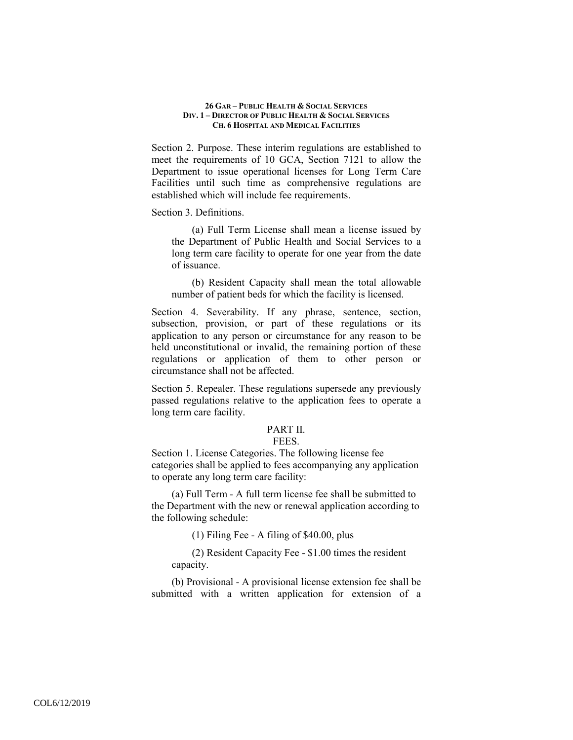Section 2. Purpose. These interim regulations are established to meet the requirements of 10 GCA, Section 7121 to allow the Department to issue operational licenses for Long Term Care Facilities until such time as comprehensive regulations are established which will include fee requirements.

### Section 3. Definitions.

(a) Full Term License shall mean a license issued by the Department of Public Health and Social Services to a long term care facility to operate for one year from the date of issuance.

(b) Resident Capacity shall mean the total allowable number of patient beds for which the facility is licensed.

Section 4. Severability. If any phrase, sentence, section, subsection, provision, or part of these regulations or its application to any person or circumstance for any reason to be held unconstitutional or invalid, the remaining portion of these regulations or application of them to other person or circumstance shall not be affected.

Section 5. Repealer. These regulations supersede any previously passed regulations relative to the application fees to operate a long term care facility.

### PART II.

#### FEES.

Section 1. License Categories. The following license fee categories shall be applied to fees accompanying any application to operate any long term care facility:

(a) Full Term - A full term license fee shall be submitted to the Department with the new or renewal application according to the following schedule:

(1) Filing Fee - A filing of \$40.00, plus

(2) Resident Capacity Fee - \$1.00 times the resident capacity.

(b) Provisional - A provisional license extension fee shall be submitted with a written application for extension of a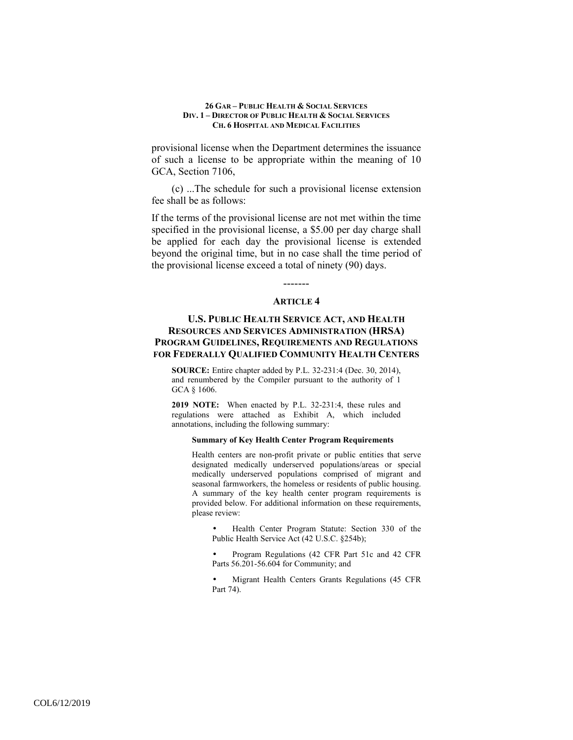provisional license when the Department determines the issuance of such a license to be appropriate within the meaning of 10 GCA, Section 7106,

(c) ...The schedule for such a provisional license extension fee shall be as follows:

If the terms of the provisional license are not met within the time specified in the provisional license, a \$5.00 per day charge shall be applied for each day the provisional license is extended beyond the original time, but in no case shall the time period of the provisional license exceed a total of ninety (90) days.

# ------- **ARTICLE 4**

# **U.S. PUBLIC HEALTH SERVICE ACT, AND HEALTH RESOURCES AND SERVICES ADMINISTRATION (HRSA) PROGRAM GUIDELINES, REQUIREMENTS AND REGULATIONS FOR FEDERALLY QUALIFIED COMMUNITY HEALTH CENTERS**

**SOURCE:** Entire chapter added by P.L. 32-231:4 (Dec. 30, 2014), and renumbered by the Compiler pursuant to the authority of 1 GCA § 1606.

**2019 NOTE:** When enacted by P.L. 32-231:4, these rules and regulations were attached as Exhibit A, which included annotations, including the following summary:

#### **Summary of Key Health Center Program Requirements**

Health centers are non-profit private or public entities that serve designated medically underserved populations/areas or special medically underserved populations comprised of migrant and seasonal farmworkers, the homeless or residents of public housing. A summary of the key health center program requirements is provided below. For additional information on these requirements, please review:

• Health Center Program Statute: Section 330 of the Public Health Service Act (42 U.S.C. §254b);

• Program Regulations (42 CFR Part 51c and 42 CFR Parts 56.201-56.604 for Community; and

• Migrant Health Centers Grants Regulations (45 CFR Part 74).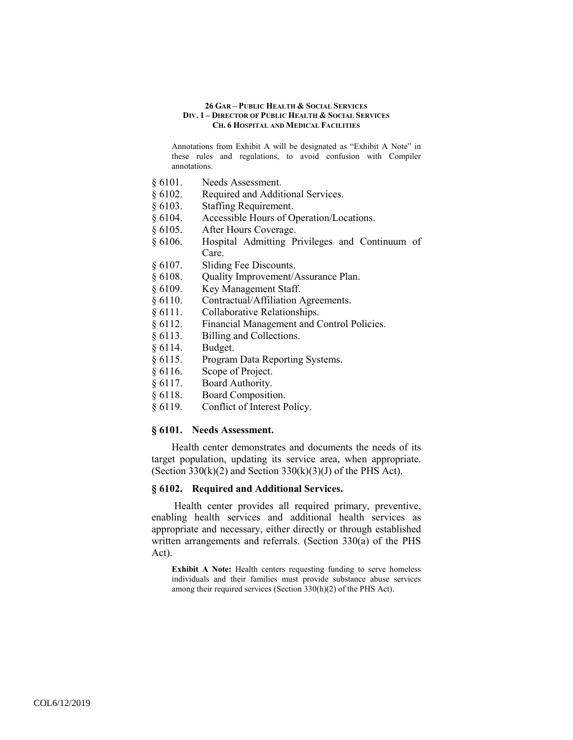Annotations from Exhibit A will be designated as "Exhibit A Note" in these rules and regulations, to avoid confusion with Compiler annotations.

- § 6101. Needs Assessment.
- § 6102. Required and Additional Services.
- § 6103. Staffing Requirement.
- § 6104. Accessible Hours of Operation/Locations.
- § 6105. After Hours Coverage.
- § 6106. Hospital Admitting Privileges and Continuum of Care.
- § 6107. Sliding Fee Discounts.
- § 6108. Quality Improvement/Assurance Plan.
- § 6109. Key Management Staff.
- § 6110. Contractual/Affiliation Agreements.
- § 6111. Collaborative Relationships.
- § 6112. Financial Management and Control Policies.
- § 6113. Billing and Collections.
- § 6114. Budget.
- § 6115. Program Data Reporting Systems.
- § 6116. Scope of Project.
- § 6117. Board Authority.
- § 6118. Board Composition.
- § 6119. Conflict of Interest Policy.

### **§ 6101. Needs Assessment.**

Health center demonstrates and documents the needs of its target population, updating its service area, when appropriate. (Section 330 $(k)(2)$  and Section 330 $(k)(3)(J)$  of the PHS Act).

### **§ 6102. Required and Additional Services.**

 Health center provides all required primary, preventive, enabling health services and additional health services as appropriate and necessary, either directly or through established written arrangements and referrals. (Section 330(a) of the PHS Act).

**Exhibit A Note:** Health centers requesting funding to serve homeless individuals and their families must provide substance abuse services among their required services (Section 330(h)(2) of the PHS Act).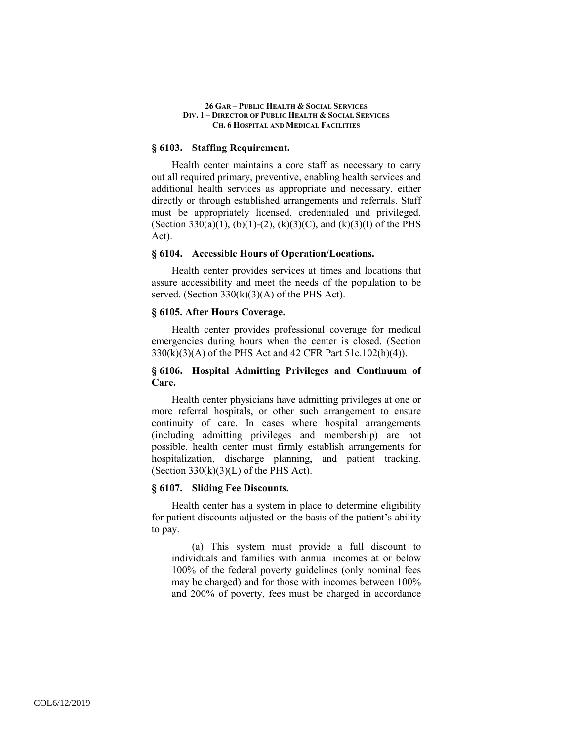### **§ 6103. Staffing Requirement.**

Health center maintains a core staff as necessary to carry out all required primary, preventive, enabling health services and additional health services as appropriate and necessary, either directly or through established arrangements and referrals. Staff must be appropriately licensed, credentialed and privileged. (Section 330(a)(1), (b)(1)-(2), (k)(3)(C), and (k)(3)(I) of the PHS Act).

### **§ 6104. Accessible Hours of Operation/Locations.**

Health center provides services at times and locations that assure accessibility and meet the needs of the population to be served. (Section  $330(k)(3)(A)$  of the PHS Act).

# **§ 6105. After Hours Coverage.**

Health center provides professional coverage for medical emergencies during hours when the center is closed. (Section 330(k)(3)(A) of the PHS Act and 42 CFR Part 51c.102(h)(4)).

# **§ 6106. Hospital Admitting Privileges and Continuum of Care.**

Health center physicians have admitting privileges at one or more referral hospitals, or other such arrangement to ensure continuity of care. In cases where hospital arrangements (including admitting privileges and membership) are not possible, health center must firmly establish arrangements for hospitalization, discharge planning, and patient tracking. (Section  $330(k)(3)(L)$  of the PHS Act).

# **§ 6107. Sliding Fee Discounts.**

Health center has a system in place to determine eligibility for patient discounts adjusted on the basis of the patient's ability to pay.

(a) This system must provide a full discount to individuals and families with annual incomes at or below 100% of the federal poverty guidelines (only nominal fees may be charged) and for those with incomes between 100% and 200% of poverty, fees must be charged in accordance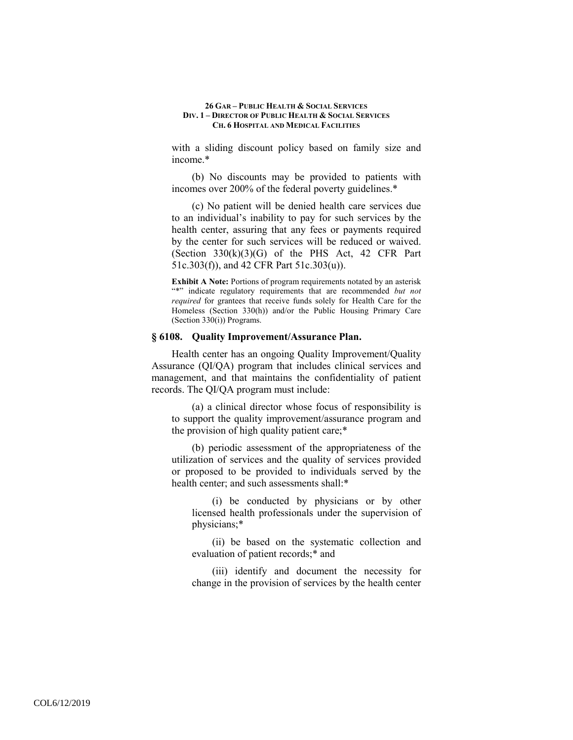with a sliding discount policy based on family size and income.\*

(b) No discounts may be provided to patients with incomes over 200% of the federal poverty guidelines.\*

(c) No patient will be denied health care services due to an individual's inability to pay for such services by the health center, assuring that any fees or payments required by the center for such services will be reduced or waived. (Section  $330(k)(3)(G)$  of the PHS Act, 42 CFR Part 51c.303(f)), and 42 CFR Part 51c.303(u)).

**Exhibit A Note:** Portions of program requirements notated by an asterisk "\*" indicate regulatory requirements that are recommended *but not required* for grantees that receive funds solely for Health Care for the Homeless (Section 330(h)) and/or the Public Housing Primary Care (Section 330(i)) Programs.

# **§ 6108. Quality Improvement/Assurance Plan.**

Health center has an ongoing Quality Improvement/Quality Assurance (QI/QA) program that includes clinical services and management, and that maintains the confidentiality of patient records. The QI/QA program must include:

(a) a clinical director whose focus of responsibility is to support the quality improvement/assurance program and the provision of high quality patient care;\*

(b) periodic assessment of the appropriateness of the utilization of services and the quality of services provided or proposed to be provided to individuals served by the health center; and such assessments shall:\*

(i) be conducted by physicians or by other licensed health professionals under the supervision of physicians;\*

(ii) be based on the systematic collection and evaluation of patient records;\* and

(iii) identify and document the necessity for change in the provision of services by the health center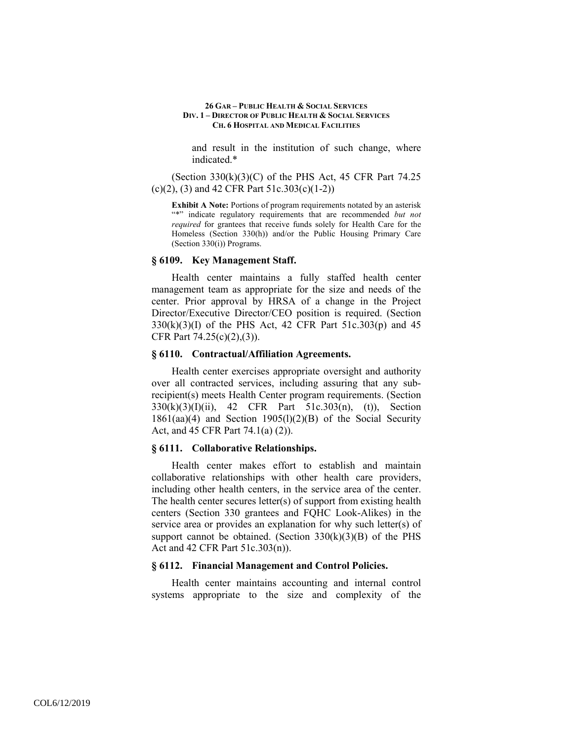and result in the institution of such change, where indicated.\*

(Section  $330(k)(3)(C)$  of the PHS Act, 45 CFR Part 74.25 (c)(2), (3) and 42 CFR Part 51c.303(c)(1-2))

**Exhibit A Note:** Portions of program requirements notated by an asterisk "\*" indicate regulatory requirements that are recommended *but not required* for grantees that receive funds solely for Health Care for the Homeless (Section 330(h)) and/or the Public Housing Primary Care (Section 330(i)) Programs.

#### **§ 6109. Key Management Staff.**

Health center maintains a fully staffed health center management team as appropriate for the size and needs of the center. Prior approval by HRSA of a change in the Project Director/Executive Director/CEO position is required. (Section 330(k)(3)(I) of the PHS Act, 42 CFR Part 51c.303(p) and 45 CFR Part 74.25(c)(2),(3)).

### **§ 6110. Contractual/Affiliation Agreements.**

Health center exercises appropriate oversight and authority over all contracted services, including assuring that any subrecipient(s) meets Health Center program requirements. (Section 330(k)(3)(I)(ii), 42 CFR Part 51c.303(n), (t)), Section 1861(aa)(4) and Section 1905(l)(2)(B) of the Social Security Act, and 45 CFR Part 74.1(a) (2)).

### **§ 6111. Collaborative Relationships.**

Health center makes effort to establish and maintain collaborative relationships with other health care providers, including other health centers, in the service area of the center. The health center secures letter(s) of support from existing health centers (Section 330 grantees and FQHC Look-Alikes) in the service area or provides an explanation for why such letter(s) of support cannot be obtained. (Section  $330(k)(3)(B)$  of the PHS Act and 42 CFR Part 51c.303(n)).

### **§ 6112. Financial Management and Control Policies.**

Health center maintains accounting and internal control systems appropriate to the size and complexity of the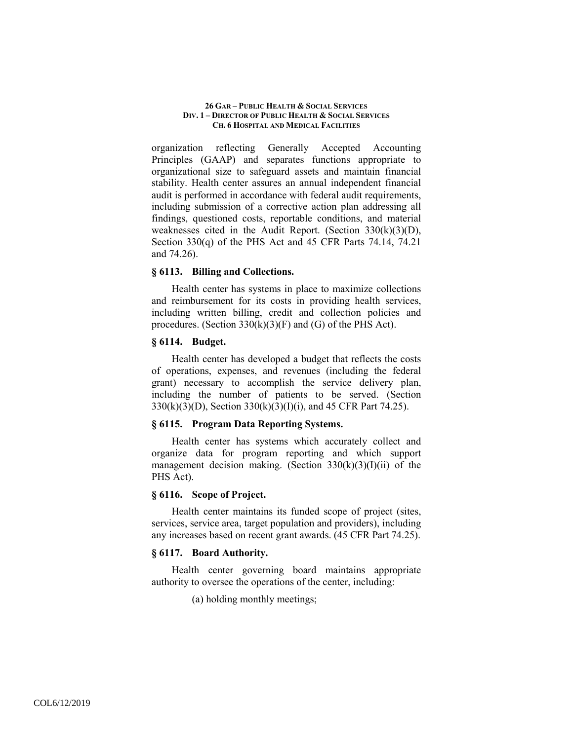organization reflecting Generally Accepted Accounting Principles (GAAP) and separates functions appropriate to organizational size to safeguard assets and maintain financial stability. Health center assures an annual independent financial audit is performed in accordance with federal audit requirements, including submission of a corrective action plan addressing all findings, questioned costs, reportable conditions, and material weaknesses cited in the Audit Report. (Section 330(k)(3)(D), Section 330(q) of the PHS Act and 45 CFR Parts 74.14, 74.21 and 74.26).

### **§ 6113. Billing and Collections.**

Health center has systems in place to maximize collections and reimbursement for its costs in providing health services, including written billing, credit and collection policies and procedures. (Section 330(k)(3)(F) and (G) of the PHS Act).

### **§ 6114. Budget.**

Health center has developed a budget that reflects the costs of operations, expenses, and revenues (including the federal grant) necessary to accomplish the service delivery plan, including the number of patients to be served. (Section 330(k)(3)(D), Section 330(k)(3)(I)(i), and 45 CFR Part 74.25).

# **§ 6115. Program Data Reporting Systems.**

Health center has systems which accurately collect and organize data for program reporting and which support management decision making. (Section  $330(k)(3)(I)(ii)$  of the PHS Act).

### **§ 6116. Scope of Project.**

Health center maintains its funded scope of project (sites, services, service area, target population and providers), including any increases based on recent grant awards. (45 CFR Part 74.25).

# **§ 6117. Board Authority.**

Health center governing board maintains appropriate authority to oversee the operations of the center, including:

(a) holding monthly meetings;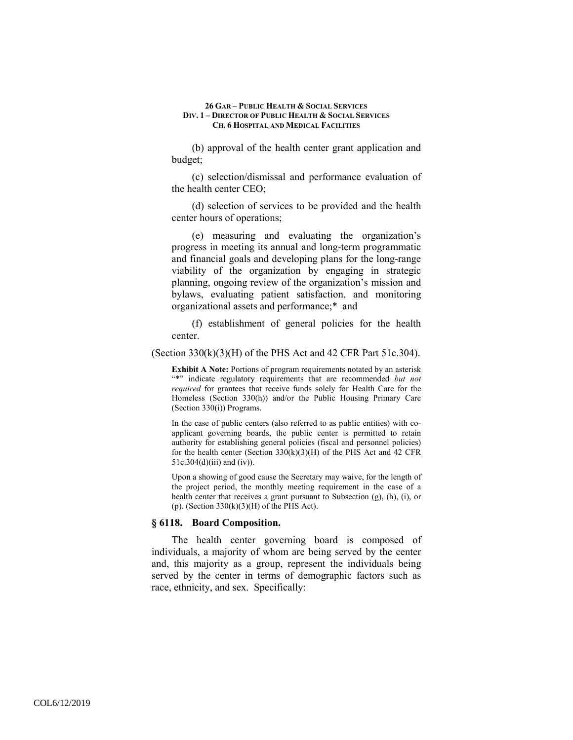(b) approval of the health center grant application and budget;

(c) selection/dismissal and performance evaluation of the health center CEO;

(d) selection of services to be provided and the health center hours of operations;

(e) measuring and evaluating the organization's progress in meeting its annual and long-term programmatic and financial goals and developing plans for the long-range viability of the organization by engaging in strategic planning, ongoing review of the organization's mission and bylaws, evaluating patient satisfaction, and monitoring organizational assets and performance;\* and

(f) establishment of general policies for the health center.

(Section  $330(k)(3)(H)$  of the PHS Act and 42 CFR Part  $51c.304$ ).

**Exhibit A Note:** Portions of program requirements notated by an asterisk "\*" indicate regulatory requirements that are recommended *but not required* for grantees that receive funds solely for Health Care for the Homeless (Section 330(h)) and/or the Public Housing Primary Care (Section 330(i)) Programs.

In the case of public centers (also referred to as public entities) with coapplicant governing boards, the public center is permitted to retain authority for establishing general policies (fiscal and personnel policies) for the health center (Section  $330(k)(3)(H)$  of the PHS Act and 42 CFR  $51c.304(d)(iii)$  and  $(iv)$ ).

Upon a showing of good cause the Secretary may waive, for the length of the project period, the monthly meeting requirement in the case of a health center that receives a grant pursuant to Subsection (g), (h), (i), or (p). (Section  $330(k)(3)(H)$  of the PHS Act).

### **§ 6118. Board Composition.**

The health center governing board is composed of individuals, a majority of whom are being served by the center and, this majority as a group, represent the individuals being served by the center in terms of demographic factors such as race, ethnicity, and sex. Specifically: